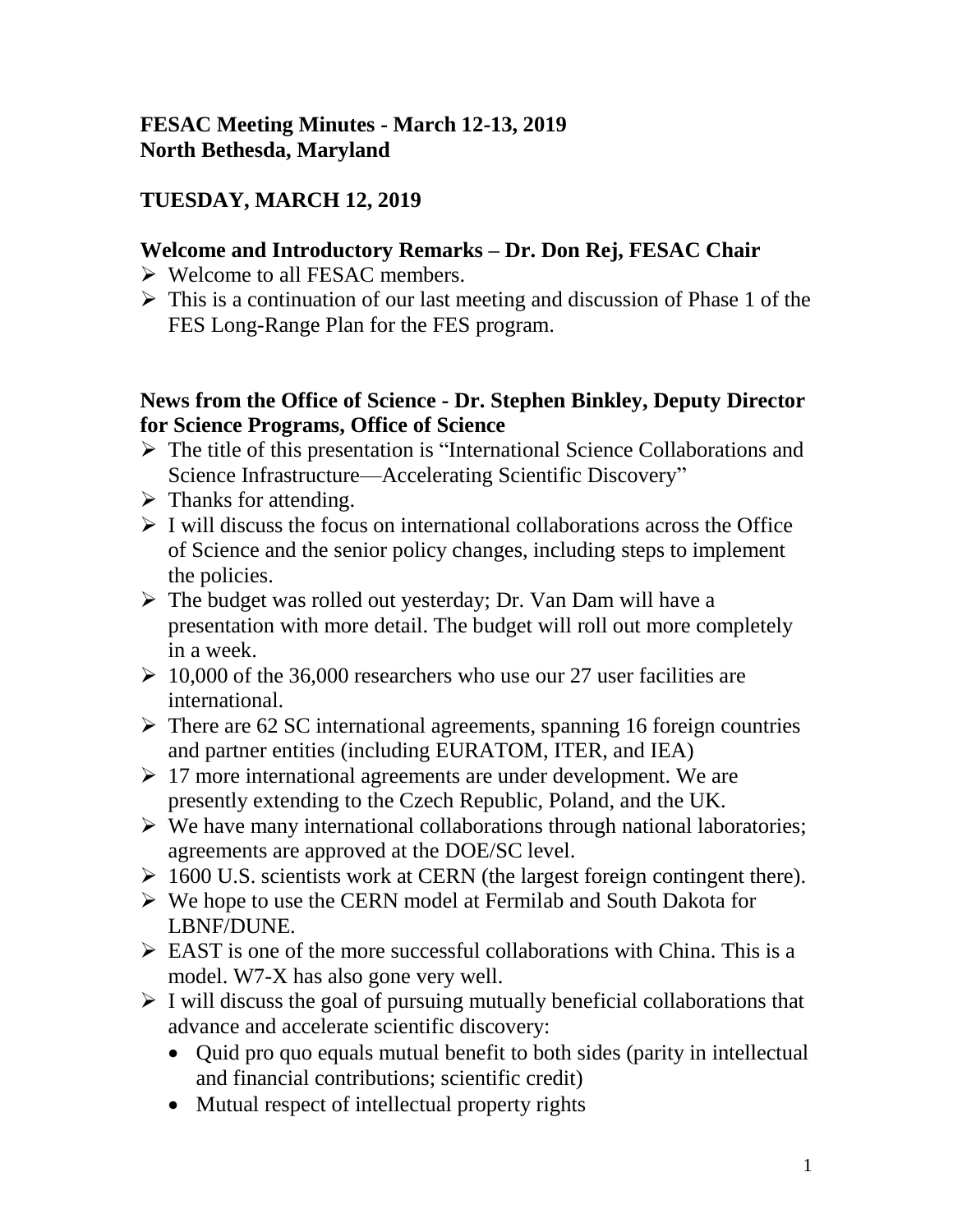### **FESAC Meeting Minutes - March 12-13, 2019 North Bethesda, Maryland**

# **TUESDAY, MARCH 12, 2019**

### **Welcome and Introductory Remarks – Dr. Don Rej, FESAC Chair**

- Welcome to all FESAC members.
- $\triangleright$  This is a continuation of our last meeting and discussion of Phase 1 of the FES Long-Range Plan for the FES program.

#### **News from the Office of Science - Dr. Stephen Binkley, Deputy Director for Science Programs, Office of Science**

- $\triangleright$  The title of this presentation is "International Science Collaborations and Science Infrastructure—Accelerating Scientific Discovery"
- $\triangleright$  Thanks for attending.
- $\triangleright$  I will discuss the focus on international collaborations across the Office of Science and the senior policy changes, including steps to implement the policies.
- $\triangleright$  The budget was rolled out yesterday; Dr. Van Dam will have a presentation with more detail. The budget will roll out more completely in a week.
- $\geq 10,000$  of the 36,000 researchers who use our 27 user facilities are international.
- $\triangleright$  There are 62 SC international agreements, spanning 16 foreign countries and partner entities (including EURATOM, ITER, and IEA)
- $\geq 17$  more international agreements are under development. We are presently extending to the Czech Republic, Poland, and the UK.
- $\triangleright$  We have many international collaborations through national laboratories; agreements are approved at the DOE/SC level.
- $\geq 1600$  U.S. scientists work at CERN (the largest foreign contingent there).
- We hope to use the CERN model at Fermilab and South Dakota for LBNF/DUNE.
- $\triangleright$  EAST is one of the more successful collaborations with China. This is a model. W7-X has also gone very well.
- $\triangleright$  I will discuss the goal of pursuing mutually beneficial collaborations that advance and accelerate scientific discovery:
	- Quid pro quo equals mutual benefit to both sides (parity in intellectual and financial contributions; scientific credit)
	- Mutual respect of intellectual property rights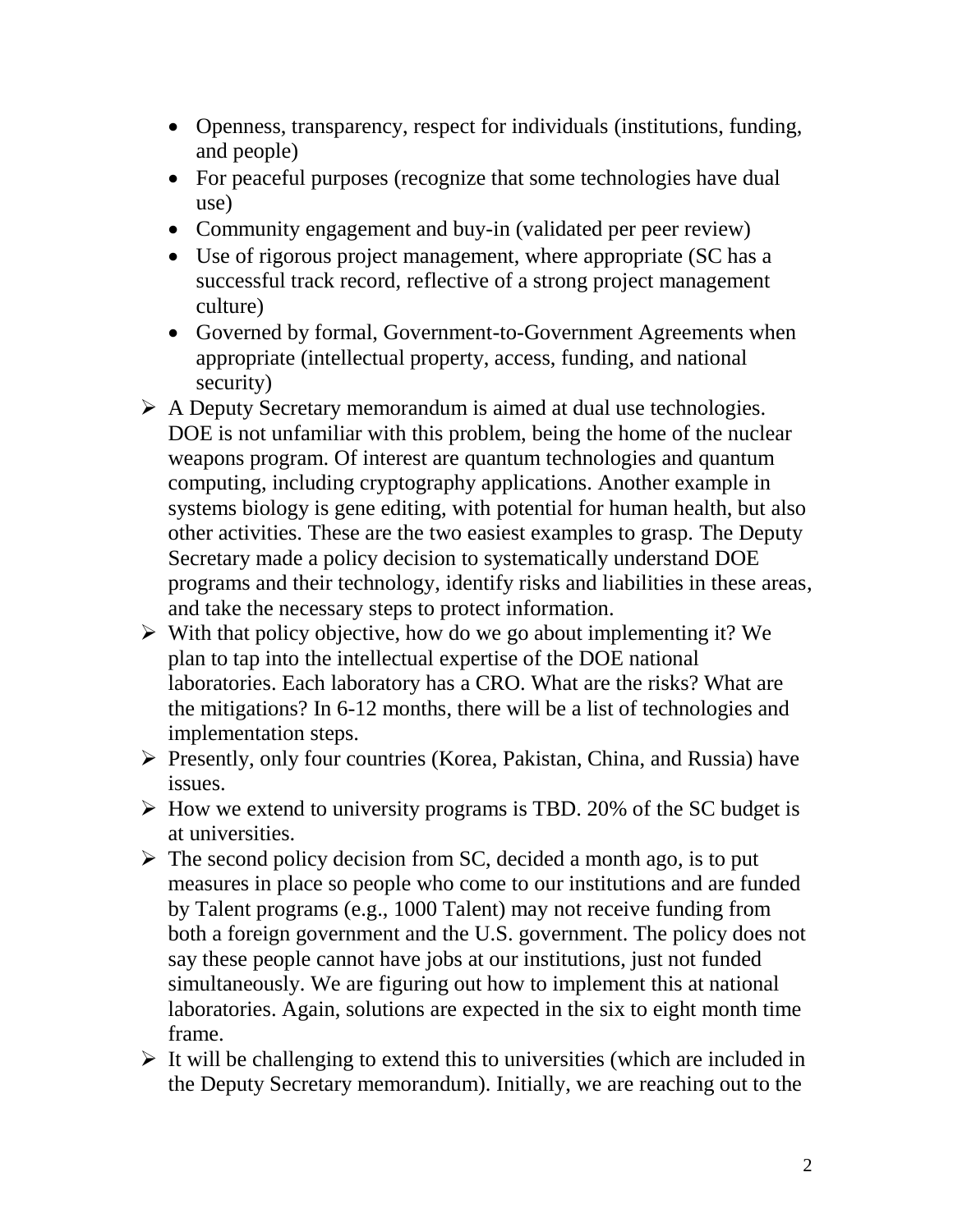- Openness, transparency, respect for individuals (institutions, funding, and people)
- For peaceful purposes (recognize that some technologies have dual use)
- Community engagement and buy-in (validated per peer review)
- Use of rigorous project management, where appropriate (SC has a successful track record, reflective of a strong project management culture)
- Governed by formal, Government-to-Government Agreements when appropriate (intellectual property, access, funding, and national security)
- A Deputy Secretary memorandum is aimed at dual use technologies. DOE is not unfamiliar with this problem, being the home of the nuclear weapons program. Of interest are quantum technologies and quantum computing, including cryptography applications. Another example in systems biology is gene editing, with potential for human health, but also other activities. These are the two easiest examples to grasp. The Deputy Secretary made a policy decision to systematically understand DOE programs and their technology, identify risks and liabilities in these areas, and take the necessary steps to protect information.
- $\triangleright$  With that policy objective, how do we go about implementing it? We plan to tap into the intellectual expertise of the DOE national laboratories. Each laboratory has a CRO. What are the risks? What are the mitigations? In 6-12 months, there will be a list of technologies and implementation steps.
- Presently, only four countries (Korea, Pakistan, China, and Russia) have issues.
- $\triangleright$  How we extend to university programs is TBD. 20% of the SC budget is at universities.
- $\triangleright$  The second policy decision from SC, decided a month ago, is to put measures in place so people who come to our institutions and are funded by Talent programs (e.g., 1000 Talent) may not receive funding from both a foreign government and the U.S. government. The policy does not say these people cannot have jobs at our institutions, just not funded simultaneously. We are figuring out how to implement this at national laboratories. Again, solutions are expected in the six to eight month time frame.
- $\triangleright$  It will be challenging to extend this to universities (which are included in the Deputy Secretary memorandum). Initially, we are reaching out to the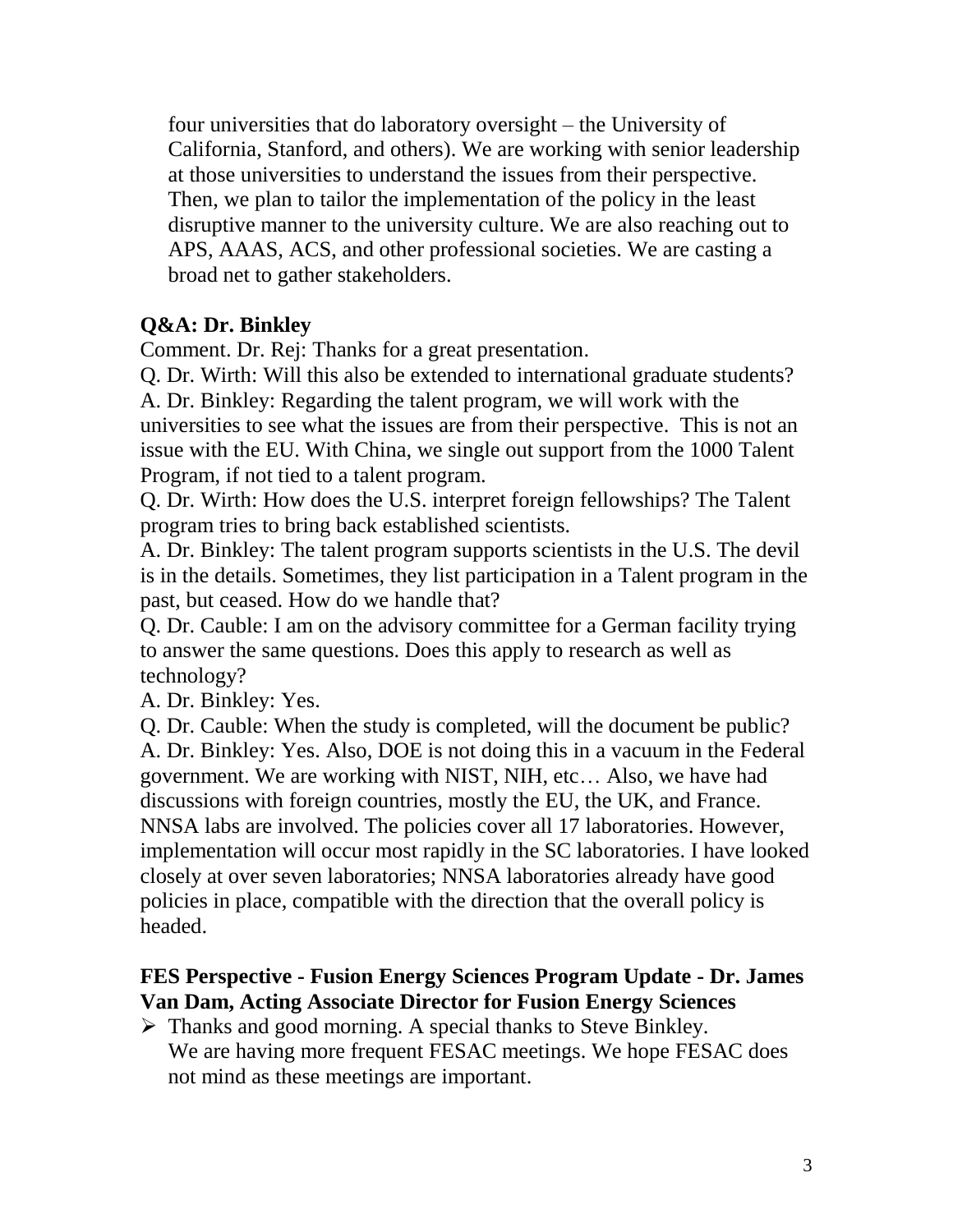four universities that do laboratory oversight – the University of California, Stanford, and others). We are working with senior leadership at those universities to understand the issues from their perspective. Then, we plan to tailor the implementation of the policy in the least disruptive manner to the university culture. We are also reaching out to APS, AAAS, ACS, and other professional societies. We are casting a broad net to gather stakeholders.

### **Q&A: Dr. Binkley**

Comment. Dr. Rej: Thanks for a great presentation.

Q. Dr. Wirth: Will this also be extended to international graduate students? A. Dr. Binkley: Regarding the talent program, we will work with the universities to see what the issues are from their perspective. This is not an issue with the EU. With China, we single out support from the 1000 Talent Program, if not tied to a talent program.

Q. Dr. Wirth: How does the U.S. interpret foreign fellowships? The Talent program tries to bring back established scientists.

A. Dr. Binkley: The talent program supports scientists in the U.S. The devil is in the details. Sometimes, they list participation in a Talent program in the past, but ceased. How do we handle that?

Q. Dr. Cauble: I am on the advisory committee for a German facility trying to answer the same questions. Does this apply to research as well as technology?

A. Dr. Binkley: Yes.

Q. Dr. Cauble: When the study is completed, will the document be public? A. Dr. Binkley: Yes. Also, DOE is not doing this in a vacuum in the Federal government. We are working with NIST, NIH, etc… Also, we have had discussions with foreign countries, mostly the EU, the UK, and France. NNSA labs are involved. The policies cover all 17 laboratories. However, implementation will occur most rapidly in the SC laboratories. I have looked closely at over seven laboratories; NNSA laboratories already have good policies in place, compatible with the direction that the overall policy is headed.

### **FES Perspective - Fusion Energy Sciences Program Update - Dr. James Van Dam, Acting Associate Director for Fusion Energy Sciences**

 $\triangleright$  Thanks and good morning. A special thanks to Steve Binkley. We are having more frequent FESAC meetings. We hope FESAC does not mind as these meetings are important.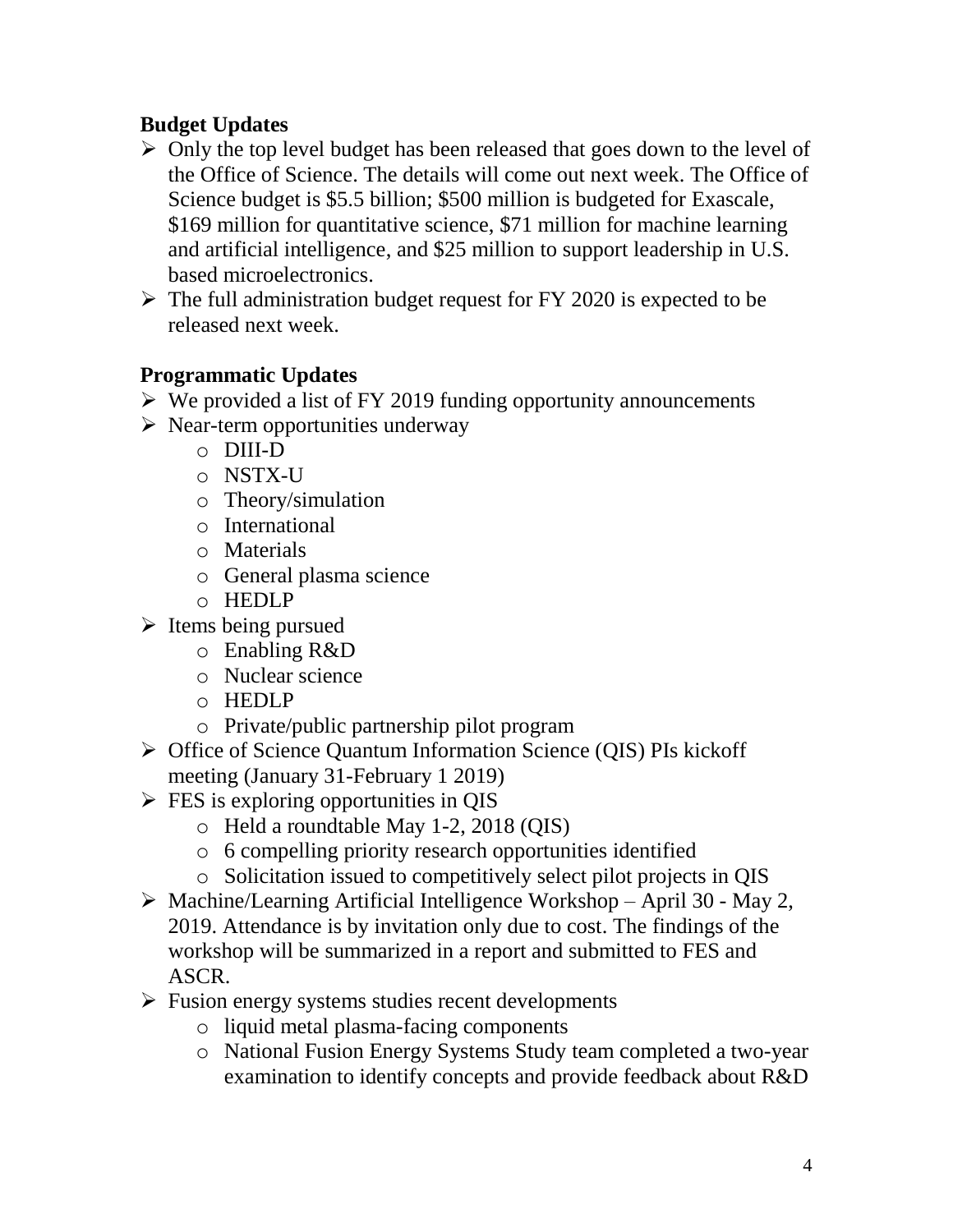# **Budget Updates**

- $\triangleright$  Only the top level budget has been released that goes down to the level of the Office of Science. The details will come out next week. The Office of Science budget is \$5.5 billion; \$500 million is budgeted for Exascale, \$169 million for quantitative science, \$71 million for machine learning and artificial intelligence, and \$25 million to support leadership in U.S. based microelectronics.
- $\triangleright$  The full administration budget request for FY 2020 is expected to be released next week.

# **Programmatic Updates**

- $\triangleright$  We provided a list of FY 2019 funding opportunity announcements
- $\triangleright$  Near-term opportunities underway
	- o DIII-D
	- o NSTX-U
	- o Theory/simulation
	- o International
	- o Materials
	- o General plasma science
	- o HEDLP
- $\triangleright$  Items being pursued
	- o Enabling R&D
	- o Nuclear science
	- o HEDLP
	- o Private/public partnership pilot program
- ▶ Office of Science Quantum Information Science (QIS) PIs kickoff meeting (January 31-February 1 2019)
- $\triangleright$  FES is exploring opportunities in QIS
	- o Held a roundtable May 1-2, 2018 (QIS)
	- o 6 compelling priority research opportunities identified
	- o Solicitation issued to competitively select pilot projects in QIS
- $\triangleright$  Machine/Learning Artificial Intelligence Workshop April 30 May 2, 2019. Attendance is by invitation only due to cost. The findings of the workshop will be summarized in a report and submitted to FES and ASCR.
- $\triangleright$  Fusion energy systems studies recent developments
	- o liquid metal plasma-facing components
	- o National Fusion Energy Systems Study team completed a two-year examination to identify concepts and provide feedback about R&D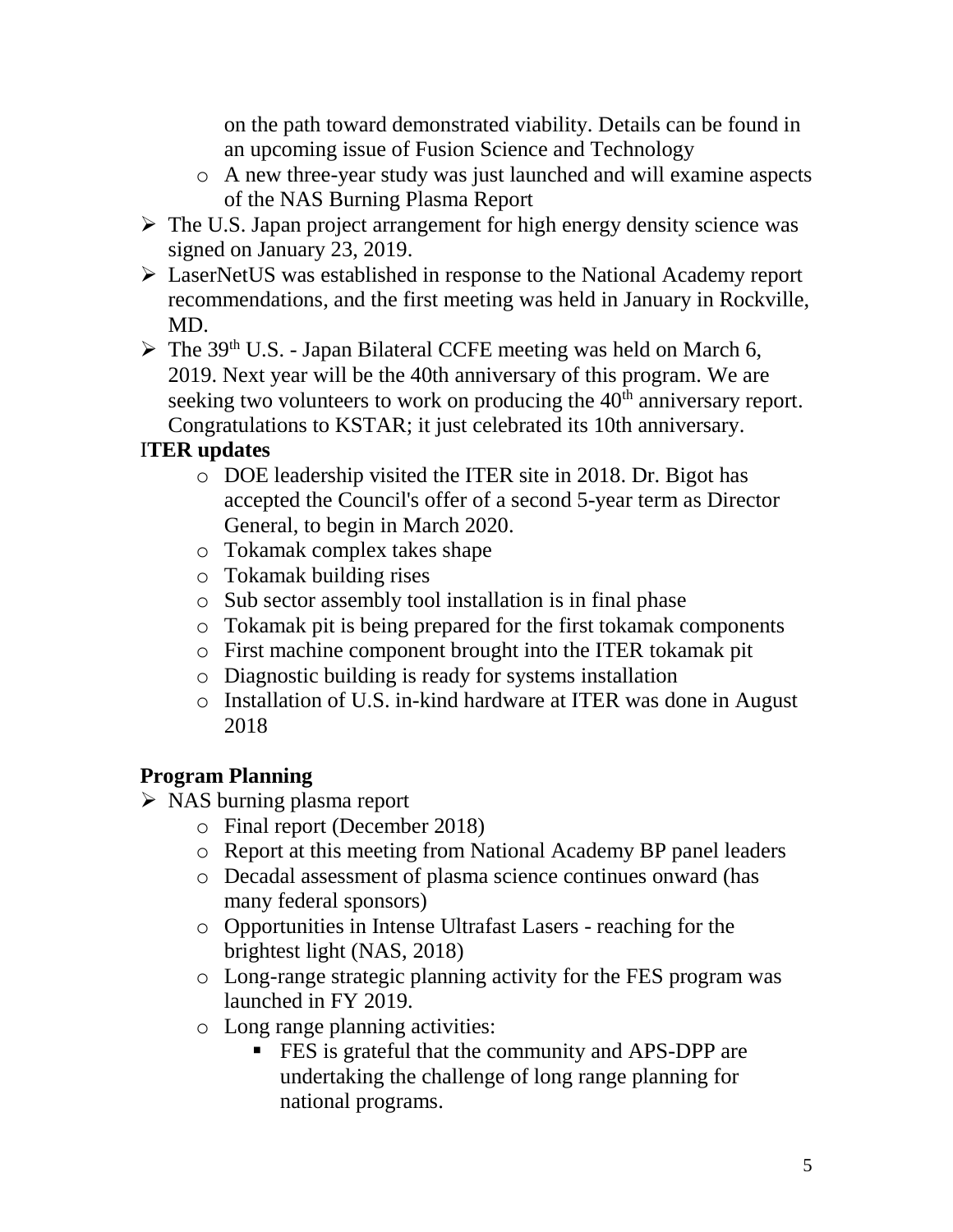on the path toward demonstrated viability. Details can be found in an upcoming issue of Fusion Science and Technology

- o A new three-year study was just launched and will examine aspects of the NAS Burning Plasma Report
- $\triangleright$  The U.S. Japan project arrangement for high energy density science was signed on January 23, 2019.
- LaserNetUS was established in response to the National Academy report recommendations, and the first meeting was held in January in Rockville, MD.
- $\triangleright$  The 39<sup>th</sup> U.S. Japan Bilateral CCFE meeting was held on March 6, 2019. Next year will be the 40th anniversary of this program. We are seeking two volunteers to work on producing the 40<sup>th</sup> anniversary report. Congratulations to KSTAR; it just celebrated its 10th anniversary.

# I**TER updates**

- o DOE leadership visited the ITER site in 2018. Dr. Bigot has accepted the Council's offer of a second 5-year term as Director General, to begin in March 2020.
- o Tokamak complex takes shape
- o Tokamak building rises
- o Sub sector assembly tool installation is in final phase
- o Tokamak pit is being prepared for the first tokamak components
- o First machine component brought into the ITER tokamak pit
- o Diagnostic building is ready for systems installation
- o Installation of U.S. in-kind hardware at ITER was done in August 2018

# **Program Planning**

- > NAS burning plasma report
	- o Final report (December 2018)
	- o Report at this meeting from National Academy BP panel leaders
	- o Decadal assessment of plasma science continues onward (has many federal sponsors)
	- o Opportunities in Intense Ultrafast Lasers reaching for the brightest light (NAS, 2018)
	- o Long-range strategic planning activity for the FES program was launched in FY 2019.
	- o Long range planning activities:
		- **FES** is grateful that the community and APS-DPP are undertaking the challenge of long range planning for national programs.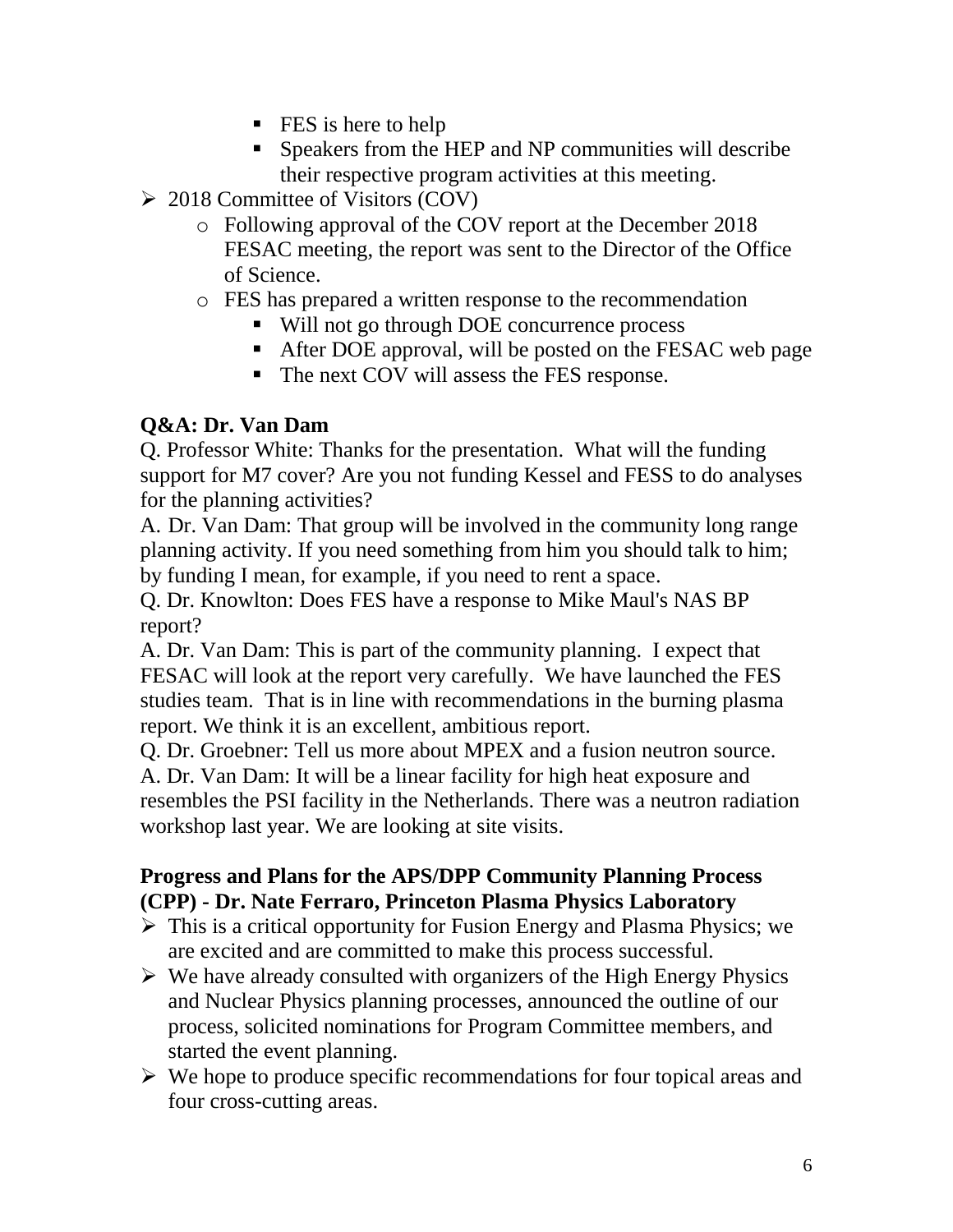- **FES** is here to help
- Speakers from the HEP and NP communities will describe their respective program activities at this meeting.
- $\geq$  2018 Committee of Visitors (COV)
	- o Following approval of the COV report at the December 2018 FESAC meeting, the report was sent to the Director of the Office of Science.
	- o FES has prepared a written response to the recommendation
		- Will not go through DOE concurrence process
		- After DOE approval, will be posted on the FESAC web page
		- The next COV will assess the FES response.

# **Q&A: Dr. Van Dam**

Q. Professor White: Thanks for the presentation. What will the funding support for M7 cover? Are you not funding Kessel and FESS to do analyses for the planning activities?

A. Dr. Van Dam: That group will be involved in the community long range planning activity. If you need something from him you should talk to him; by funding I mean, for example, if you need to rent a space.

Q. Dr. Knowlton: Does FES have a response to Mike Maul's NAS BP report?

A. Dr. Van Dam: This is part of the community planning. I expect that FESAC will look at the report very carefully. We have launched the FES studies team. That is in line with recommendations in the burning plasma report. We think it is an excellent, ambitious report.

Q. Dr. Groebner: Tell us more about MPEX and a fusion neutron source. A. Dr. Van Dam: It will be a linear facility for high heat exposure and resembles the PSI facility in the Netherlands. There was a neutron radiation workshop last year. We are looking at site visits.

# **Progress and Plans for the APS/DPP Community Planning Process (CPP) - Dr. Nate Ferraro, Princeton Plasma Physics Laboratory**

- $\triangleright$  This is a critical opportunity for Fusion Energy and Plasma Physics; we are excited and are committed to make this process successful.
- $\triangleright$  We have already consulted with organizers of the High Energy Physics and Nuclear Physics planning processes, announced the outline of our process, solicited nominations for Program Committee members, and started the event planning.
- $\triangleright$  We hope to produce specific recommendations for four topical areas and four cross-cutting areas.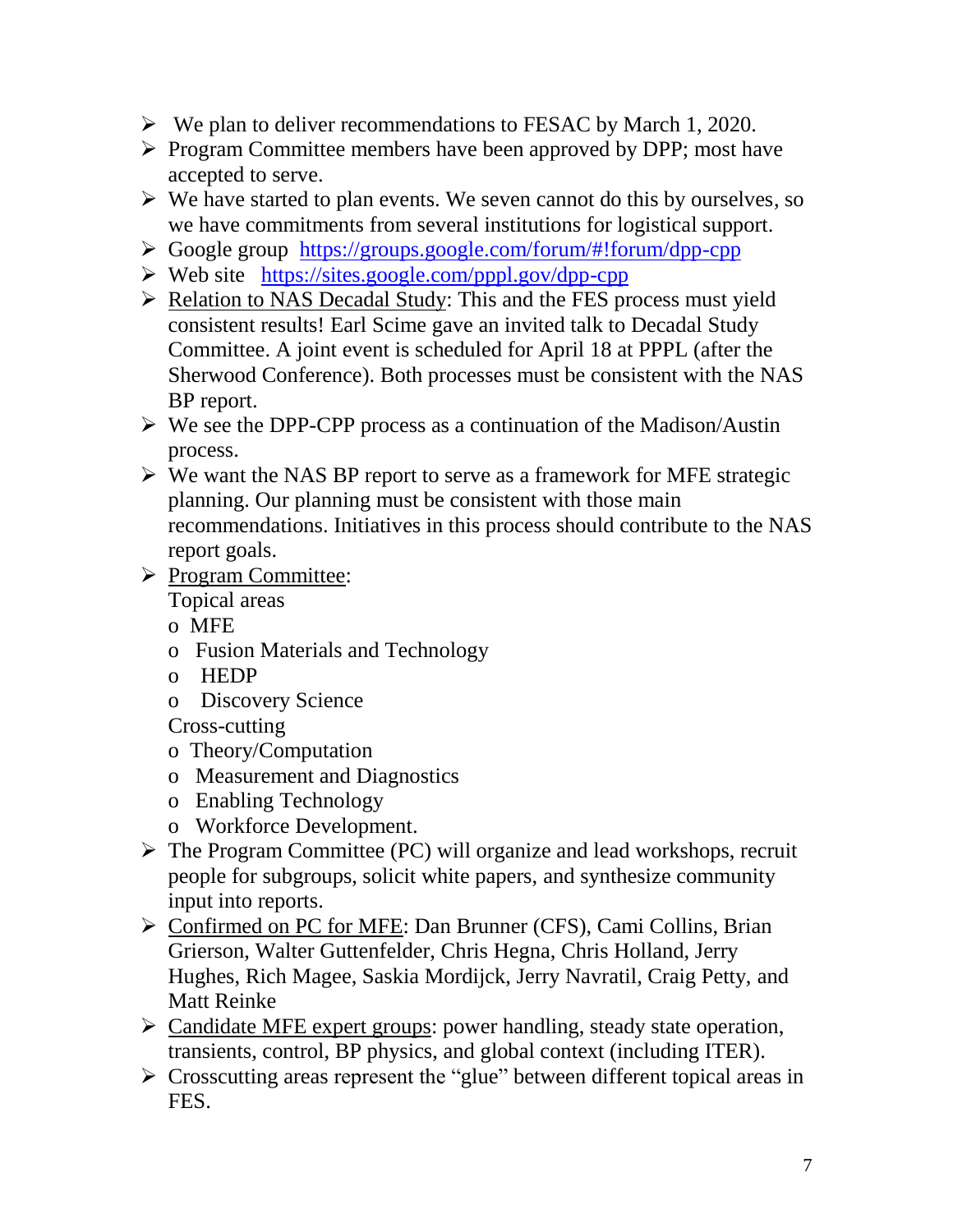- $\triangleright$  We plan to deliver recommendations to FESAC by March 1, 2020.
- Program Committee members have been approved by DPP; most have accepted to serve.
- $\triangleright$  We have started to plan events. We seven cannot do this by ourselves, so we have commitments from several institutions for logistical support.
- Google group <https://groups.google.com/forum/#!forum/dpp-cpp>
- $\triangleright$  Web site <https://sites.google.com/pppl.gov/dpp-cpp>
- $\triangleright$  Relation to NAS Decadal Study: This and the FES process must yield consistent results! Earl Scime gave an invited talk to Decadal Study Committee. A joint event is scheduled for April 18 at PPPL (after the Sherwood Conference). Both processes must be consistent with the NAS BP report.
- $\triangleright$  We see the DPP-CPP process as a continuation of the Madison/Austin process.
- $\triangleright$  We want the NAS BP report to serve as a framework for MFE strategic planning. Our planning must be consistent with those main recommendations. Initiatives in this process should contribute to the NAS report goals.
- Program Committee:

Topical areas

- o MFE
- o Fusion Materials and Technology
- o HEDP
- o Discovery Science

Cross-cutting

- o Theory/Computation
- o Measurement and Diagnostics
- o Enabling Technology
- o Workforce Development.
- $\triangleright$  The Program Committee (PC) will organize and lead workshops, recruit people for subgroups, solicit white papers, and synthesize community input into reports.
- Confirmed on PC for MFE: Dan Brunner (CFS), Cami Collins, Brian Grierson, Walter Guttenfelder, Chris Hegna, Chris Holland, Jerry Hughes, Rich Magee, Saskia Mordijck, Jerry Navratil, Craig Petty, and Matt Reinke
- Candidate MFE expert groups: power handling, steady state operation, transients, control, BP physics, and global context (including ITER).
- Crosscutting areas represent the "glue" between different topical areas in FES.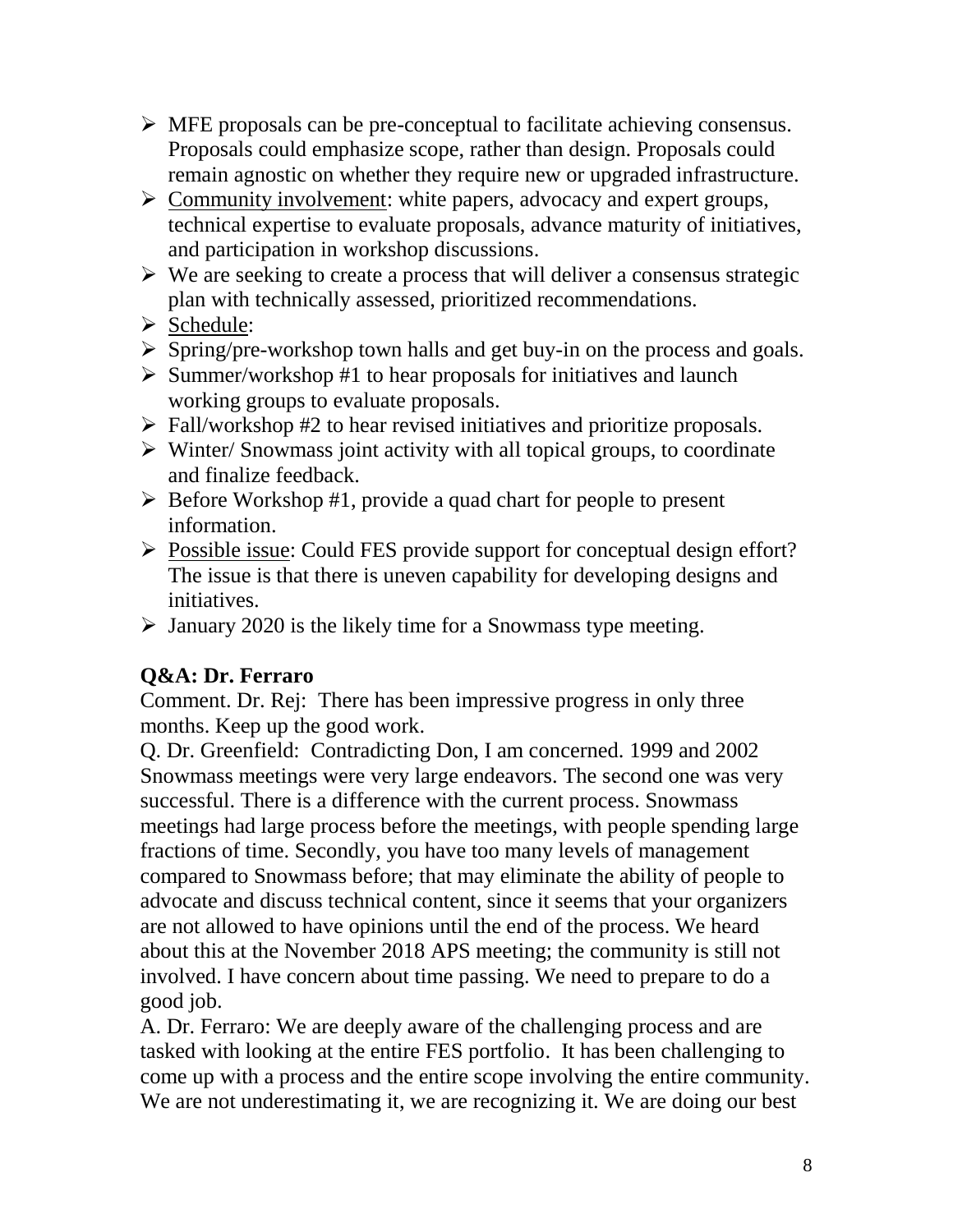- $\triangleright$  MFE proposals can be pre-conceptual to facilitate achieving consensus. Proposals could emphasize scope, rather than design. Proposals could remain agnostic on whether they require new or upgraded infrastructure.
- $\triangleright$  Community involvement: white papers, advocacy and expert groups, technical expertise to evaluate proposals, advance maturity of initiatives, and participation in workshop discussions.
- $\triangleright$  We are seeking to create a process that will deliver a consensus strategic plan with technically assessed, prioritized recommendations.
- Schedule:
- $\triangleright$  Spring/pre-workshop town halls and get buy-in on the process and goals.
- $\triangleright$  Summer/workshop #1 to hear proposals for initiatives and launch working groups to evaluate proposals.
- $\triangleright$  Fall/workshop #2 to hear revised initiatives and prioritize proposals.
- $\triangleright$  Winter/ Snowmass joint activity with all topical groups, to coordinate and finalize feedback.
- $\triangleright$  Before Workshop #1, provide a quad chart for people to present information.
- Possible issue: Could FES provide support for conceptual design effort? The issue is that there is uneven capability for developing designs and initiatives.
- $\triangleright$  January 2020 is the likely time for a Snowmass type meeting.

# **Q&A: Dr. Ferraro**

Comment. Dr. Rej: There has been impressive progress in only three months. Keep up the good work.

Q. Dr. Greenfield: Contradicting Don, I am concerned. 1999 and 2002 Snowmass meetings were very large endeavors. The second one was very successful. There is a difference with the current process. Snowmass meetings had large process before the meetings, with people spending large fractions of time. Secondly, you have too many levels of management compared to Snowmass before; that may eliminate the ability of people to advocate and discuss technical content, since it seems that your organizers are not allowed to have opinions until the end of the process. We heard about this at the November 2018 APS meeting; the community is still not involved. I have concern about time passing. We need to prepare to do a good job.

A. Dr. Ferraro: We are deeply aware of the challenging process and are tasked with looking at the entire FES portfolio. It has been challenging to come up with a process and the entire scope involving the entire community. We are not underestimating it, we are recognizing it. We are doing our best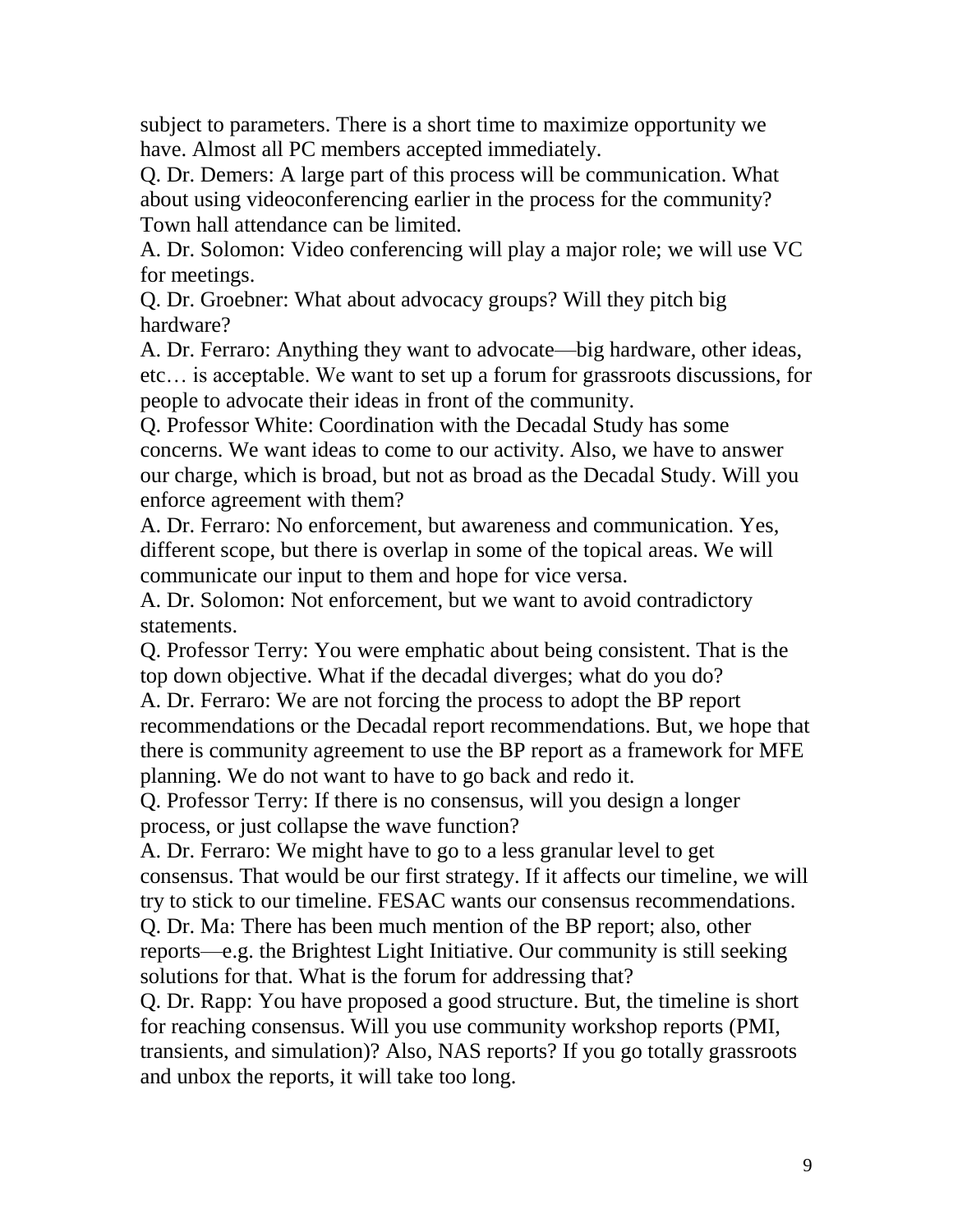subject to parameters. There is a short time to maximize opportunity we have. Almost all PC members accepted immediately.

Q. Dr. Demers: A large part of this process will be communication. What about using videoconferencing earlier in the process for the community? Town hall attendance can be limited.

A. Dr. Solomon: Video conferencing will play a major role; we will use VC for meetings.

Q. Dr. Groebner: What about advocacy groups? Will they pitch big hardware?

A. Dr. Ferraro: Anything they want to advocate—big hardware, other ideas, etc… is acceptable. We want to set up a forum for grassroots discussions, for people to advocate their ideas in front of the community.

Q. Professor White: Coordination with the Decadal Study has some concerns. We want ideas to come to our activity. Also, we have to answer our charge, which is broad, but not as broad as the Decadal Study. Will you enforce agreement with them?

A. Dr. Ferraro: No enforcement, but awareness and communication. Yes, different scope, but there is overlap in some of the topical areas. We will communicate our input to them and hope for vice versa.

A. Dr. Solomon: Not enforcement, but we want to avoid contradictory statements.

Q. Professor Terry: You were emphatic about being consistent. That is the top down objective. What if the decadal diverges; what do you do?

A. Dr. Ferraro: We are not forcing the process to adopt the BP report recommendations or the Decadal report recommendations. But, we hope that there is community agreement to use the BP report as a framework for MFE planning. We do not want to have to go back and redo it.

Q. Professor Terry: If there is no consensus, will you design a longer process, or just collapse the wave function?

A. Dr. Ferraro: We might have to go to a less granular level to get consensus. That would be our first strategy. If it affects our timeline, we will try to stick to our timeline. FESAC wants our consensus recommendations.

Q. Dr. Ma: There has been much mention of the BP report; also, other reports—e.g. the Brightest Light Initiative. Our community is still seeking solutions for that. What is the forum for addressing that?

Q. Dr. Rapp: You have proposed a good structure. But, the timeline is short for reaching consensus. Will you use community workshop reports (PMI, transients, and simulation)? Also, NAS reports? If you go totally grassroots and unbox the reports, it will take too long.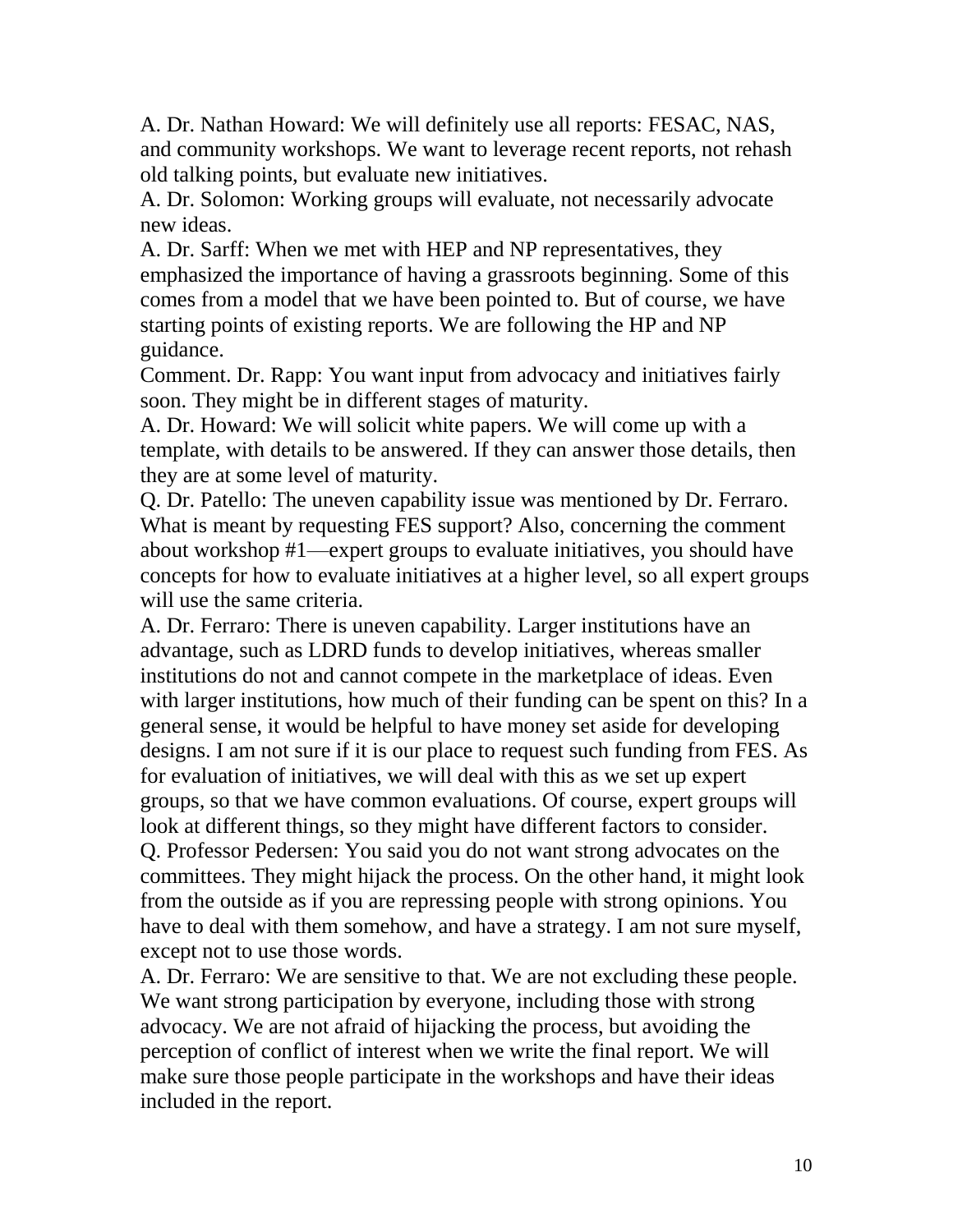A. Dr. Nathan Howard: We will definitely use all reports: FESAC, NAS, and community workshops. We want to leverage recent reports, not rehash old talking points, but evaluate new initiatives.

A. Dr. Solomon: Working groups will evaluate, not necessarily advocate new ideas.

A. Dr. Sarff: When we met with HEP and NP representatives, they emphasized the importance of having a grassroots beginning. Some of this comes from a model that we have been pointed to. But of course, we have starting points of existing reports. We are following the HP and NP guidance.

Comment. Dr. Rapp: You want input from advocacy and initiatives fairly soon. They might be in different stages of maturity.

A. Dr. Howard: We will solicit white papers. We will come up with a template, with details to be answered. If they can answer those details, then they are at some level of maturity.

Q. Dr. Patello: The uneven capability issue was mentioned by Dr. Ferraro. What is meant by requesting FES support? Also, concerning the comment about workshop #1—expert groups to evaluate initiatives, you should have concepts for how to evaluate initiatives at a higher level, so all expert groups will use the same criteria.

A. Dr. Ferraro: There is uneven capability. Larger institutions have an advantage, such as LDRD funds to develop initiatives, whereas smaller institutions do not and cannot compete in the marketplace of ideas. Even with larger institutions, how much of their funding can be spent on this? In a general sense, it would be helpful to have money set aside for developing designs. I am not sure if it is our place to request such funding from FES. As for evaluation of initiatives, we will deal with this as we set up expert groups, so that we have common evaluations. Of course, expert groups will look at different things, so they might have different factors to consider. Q. Professor Pedersen: You said you do not want strong advocates on the committees. They might hijack the process. On the other hand, it might look from the outside as if you are repressing people with strong opinions. You have to deal with them somehow, and have a strategy. I am not sure myself, except not to use those words.

A. Dr. Ferraro: We are sensitive to that. We are not excluding these people. We want strong participation by everyone, including those with strong advocacy. We are not afraid of hijacking the process, but avoiding the perception of conflict of interest when we write the final report. We will make sure those people participate in the workshops and have their ideas included in the report.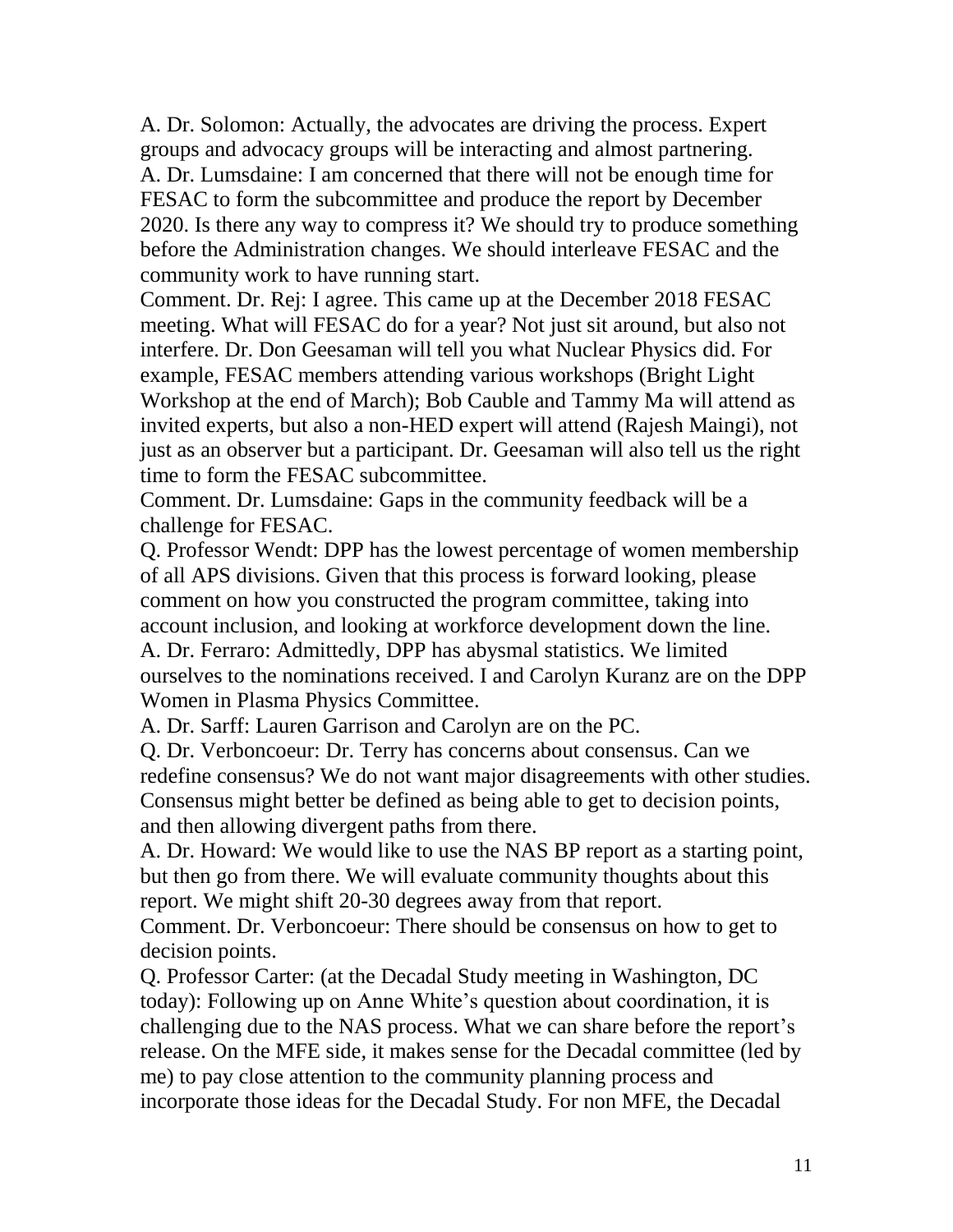A. Dr. Solomon: Actually, the advocates are driving the process. Expert groups and advocacy groups will be interacting and almost partnering. A. Dr. Lumsdaine: I am concerned that there will not be enough time for FESAC to form the subcommittee and produce the report by December 2020. Is there any way to compress it? We should try to produce something before the Administration changes. We should interleave FESAC and the community work to have running start.

Comment. Dr. Rej: I agree. This came up at the December 2018 FESAC meeting. What will FESAC do for a year? Not just sit around, but also not interfere. Dr. Don Geesaman will tell you what Nuclear Physics did. For example, FESAC members attending various workshops (Bright Light Workshop at the end of March); Bob Cauble and Tammy Ma will attend as invited experts, but also a non-HED expert will attend (Rajesh Maingi), not just as an observer but a participant. Dr. Geesaman will also tell us the right time to form the FESAC subcommittee.

Comment. Dr. Lumsdaine: Gaps in the community feedback will be a challenge for FESAC.

Q. Professor Wendt: DPP has the lowest percentage of women membership of all APS divisions. Given that this process is forward looking, please comment on how you constructed the program committee, taking into account inclusion, and looking at workforce development down the line. A. Dr. Ferraro: Admittedly, DPP has abysmal statistics. We limited ourselves to the nominations received. I and Carolyn Kuranz are on the DPP Women in Plasma Physics Committee.

A. Dr. Sarff: Lauren Garrison and Carolyn are on the PC.

Q. Dr. Verboncoeur: Dr. Terry has concerns about consensus. Can we redefine consensus? We do not want major disagreements with other studies. Consensus might better be defined as being able to get to decision points, and then allowing divergent paths from there.

A. Dr. Howard: We would like to use the NAS BP report as a starting point, but then go from there. We will evaluate community thoughts about this report. We might shift 20-30 degrees away from that report.

Comment. Dr. Verboncoeur: There should be consensus on how to get to decision points.

Q. Professor Carter: (at the Decadal Study meeting in Washington, DC today): Following up on Anne White's question about coordination, it is challenging due to the NAS process. What we can share before the report's release. On the MFE side, it makes sense for the Decadal committee (led by me) to pay close attention to the community planning process and incorporate those ideas for the Decadal Study. For non MFE, the Decadal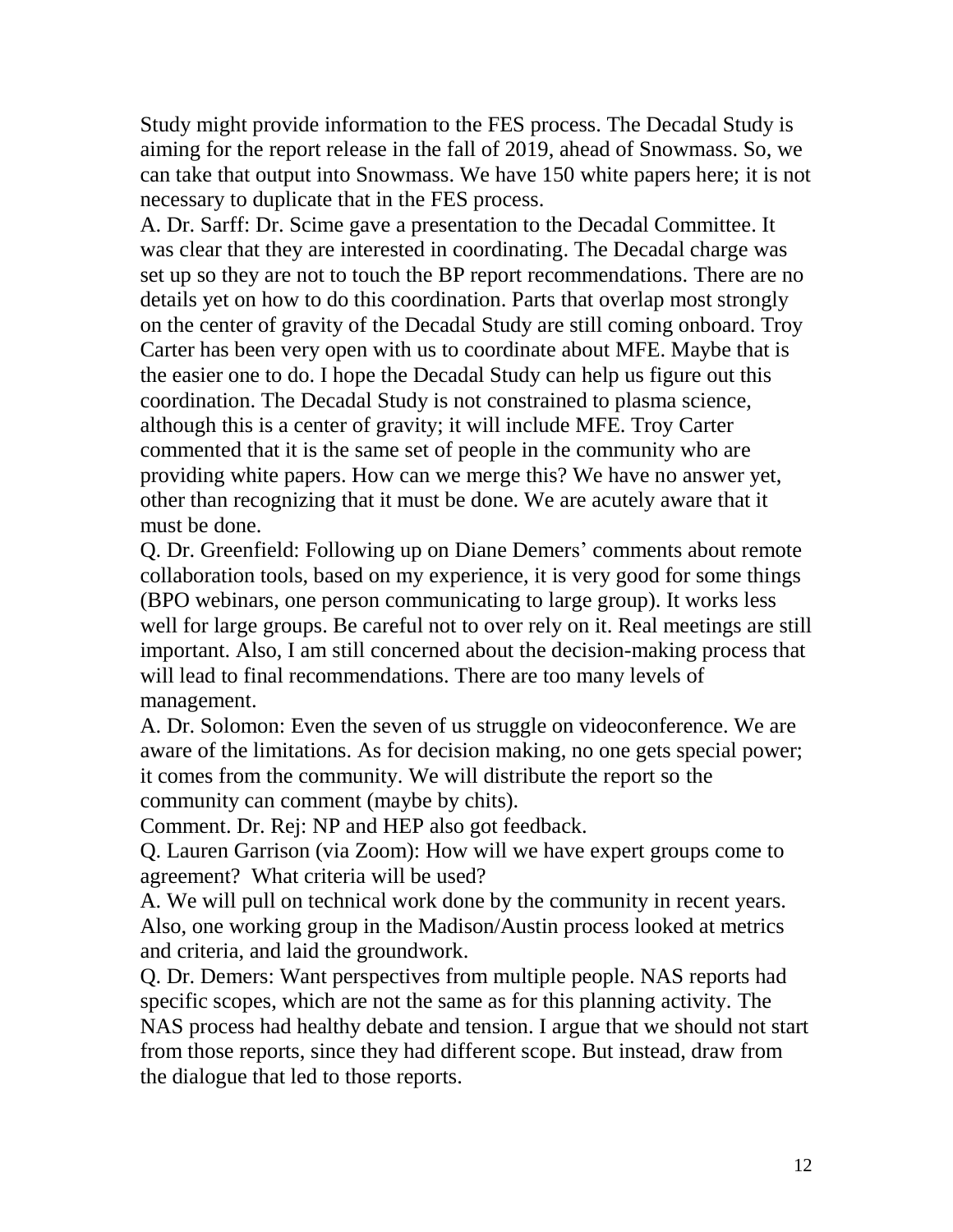Study might provide information to the FES process. The Decadal Study is aiming for the report release in the fall of 2019, ahead of Snowmass. So, we can take that output into Snowmass. We have 150 white papers here; it is not necessary to duplicate that in the FES process.

A. Dr. Sarff: Dr. Scime gave a presentation to the Decadal Committee. It was clear that they are interested in coordinating. The Decadal charge was set up so they are not to touch the BP report recommendations. There are no details yet on how to do this coordination. Parts that overlap most strongly on the center of gravity of the Decadal Study are still coming onboard. Troy Carter has been very open with us to coordinate about MFE. Maybe that is the easier one to do. I hope the Decadal Study can help us figure out this coordination. The Decadal Study is not constrained to plasma science, although this is a center of gravity; it will include MFE. Troy Carter commented that it is the same set of people in the community who are providing white papers. How can we merge this? We have no answer yet, other than recognizing that it must be done. We are acutely aware that it must be done.

Q. Dr. Greenfield: Following up on Diane Demers' comments about remote collaboration tools, based on my experience, it is very good for some things (BPO webinars, one person communicating to large group). It works less well for large groups. Be careful not to over rely on it. Real meetings are still important. Also, I am still concerned about the decision-making process that will lead to final recommendations. There are too many levels of management.

A. Dr. Solomon: Even the seven of us struggle on videoconference. We are aware of the limitations. As for decision making, no one gets special power; it comes from the community. We will distribute the report so the community can comment (maybe by chits).

Comment. Dr. Rej: NP and HEP also got feedback.

Q. Lauren Garrison (via Zoom): How will we have expert groups come to agreement? What criteria will be used?

A. We will pull on technical work done by the community in recent years. Also, one working group in the Madison/Austin process looked at metrics and criteria, and laid the groundwork.

Q. Dr. Demers: Want perspectives from multiple people. NAS reports had specific scopes, which are not the same as for this planning activity. The NAS process had healthy debate and tension. I argue that we should not start from those reports, since they had different scope. But instead, draw from the dialogue that led to those reports.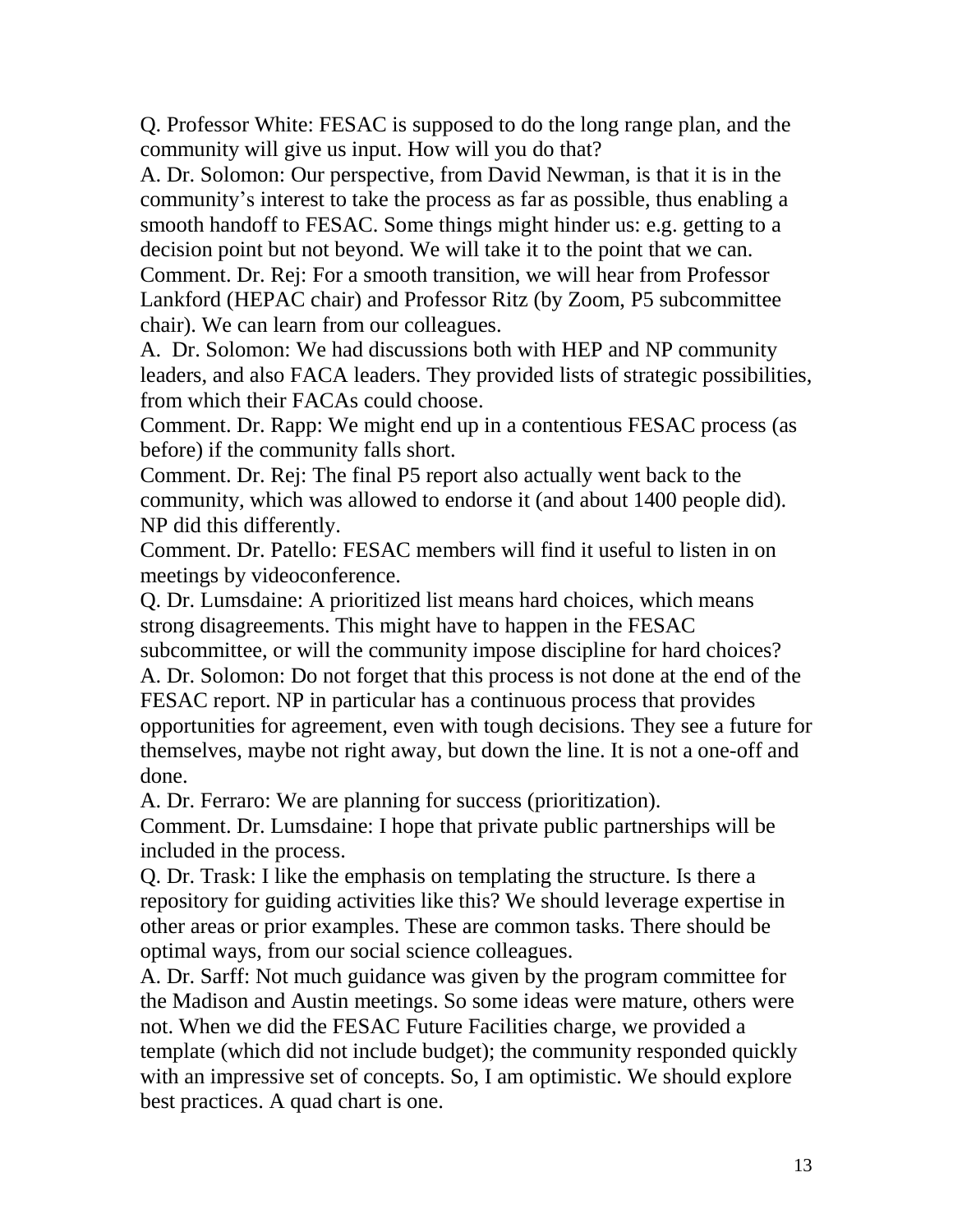Q. Professor White: FESAC is supposed to do the long range plan, and the community will give us input. How will you do that?

A. Dr. Solomon: Our perspective, from David Newman, is that it is in the community's interest to take the process as far as possible, thus enabling a smooth handoff to FESAC. Some things might hinder us: e.g. getting to a decision point but not beyond. We will take it to the point that we can.

Comment. Dr. Rej: For a smooth transition, we will hear from Professor Lankford (HEPAC chair) and Professor Ritz (by Zoom, P5 subcommittee chair). We can learn from our colleagues.

A. Dr. Solomon: We had discussions both with HEP and NP community leaders, and also FACA leaders. They provided lists of strategic possibilities, from which their FACAs could choose.

Comment. Dr. Rapp: We might end up in a contentious FESAC process (as before) if the community falls short.

Comment. Dr. Rej: The final P5 report also actually went back to the community, which was allowed to endorse it (and about 1400 people did). NP did this differently.

Comment. Dr. Patello: FESAC members will find it useful to listen in on meetings by videoconference.

Q. Dr. Lumsdaine: A prioritized list means hard choices, which means strong disagreements. This might have to happen in the FESAC subcommittee, or will the community impose discipline for hard choices? A. Dr. Solomon: Do not forget that this process is not done at the end of the FESAC report. NP in particular has a continuous process that provides opportunities for agreement, even with tough decisions. They see a future for themselves, maybe not right away, but down the line. It is not a one-off and done.

A. Dr. Ferraro: We are planning for success (prioritization).

Comment. Dr. Lumsdaine: I hope that private public partnerships will be included in the process.

Q. Dr. Trask: I like the emphasis on templating the structure. Is there a repository for guiding activities like this? We should leverage expertise in other areas or prior examples. These are common tasks. There should be optimal ways, from our social science colleagues.

A. Dr. Sarff: Not much guidance was given by the program committee for the Madison and Austin meetings. So some ideas were mature, others were not. When we did the FESAC Future Facilities charge, we provided a template (which did not include budget); the community responded quickly with an impressive set of concepts. So, I am optimistic. We should explore best practices. A quad chart is one.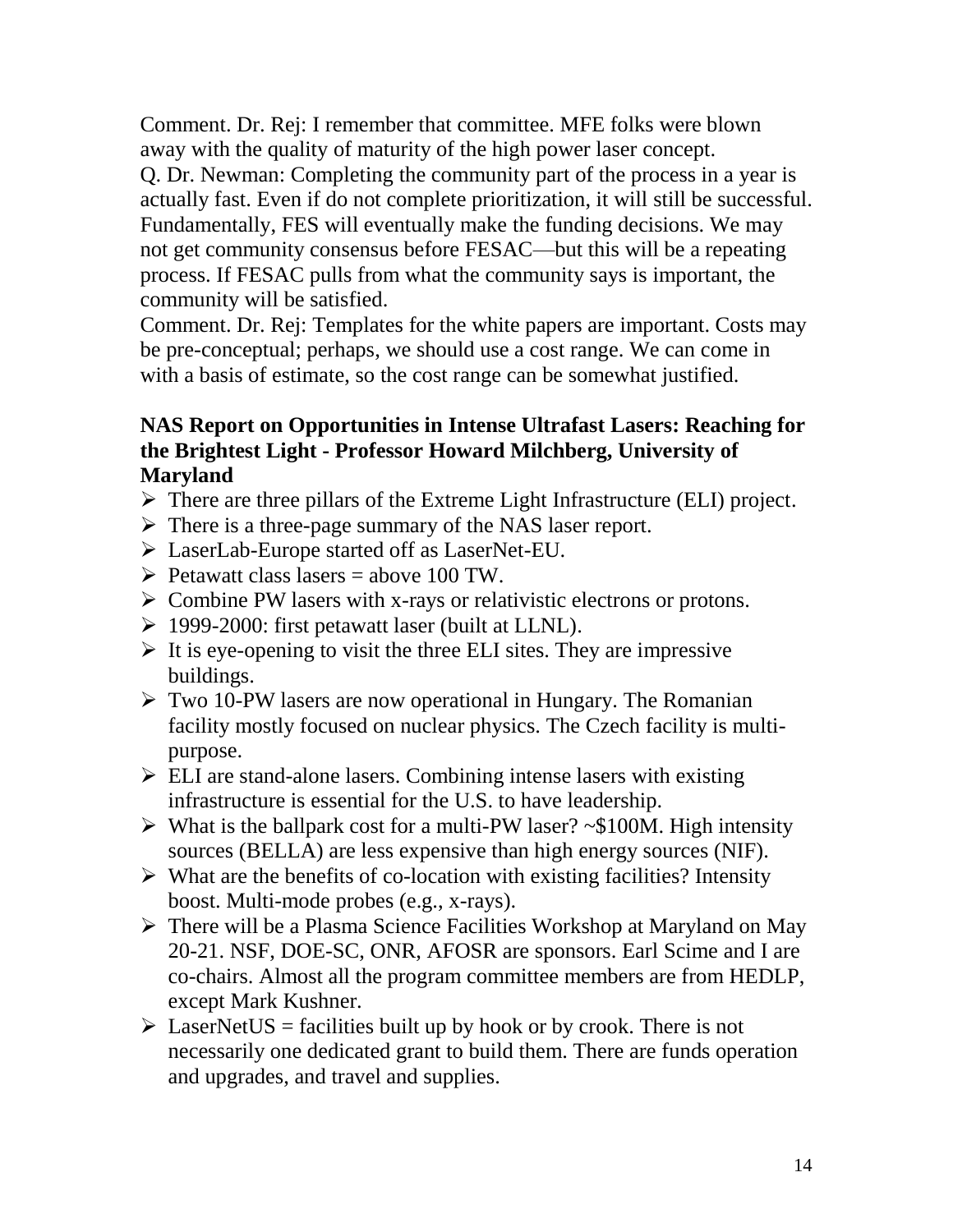Comment. Dr. Rej: I remember that committee. MFE folks were blown away with the quality of maturity of the high power laser concept. Q. Dr. Newman: Completing the community part of the process in a year is actually fast. Even if do not complete prioritization, it will still be successful. Fundamentally, FES will eventually make the funding decisions. We may not get community consensus before FESAC—but this will be a repeating process. If FESAC pulls from what the community says is important, the community will be satisfied.

Comment. Dr. Rej: Templates for the white papers are important. Costs may be pre-conceptual; perhaps, we should use a cost range. We can come in with a basis of estimate, so the cost range can be somewhat justified.

### **NAS Report on Opportunities in Intense Ultrafast Lasers: Reaching for the Brightest Light - Professor Howard Milchberg, University of Maryland**

- $\triangleright$  There are three pillars of the Extreme Light Infrastructure (ELI) project.
- $\triangleright$  There is a three-page summary of the NAS laser report.
- LaserLab-Europe started off as LaserNet-EU.
- $\triangleright$  Petawatt class lasers = above 100 TW.
- $\triangleright$  Combine PW lasers with x-rays or relativistic electrons or protons.
- $\geq 1999-2000$ : first petawatt laser (built at LLNL).
- $\triangleright$  It is eye-opening to visit the three ELI sites. They are impressive buildings.
- $\triangleright$  Two 10-PW lasers are now operational in Hungary. The Romanian facility mostly focused on nuclear physics. The Czech facility is multipurpose.
- $\triangleright$  ELI are stand-alone lasers. Combining intense lasers with existing infrastructure is essential for the U.S. to have leadership.
- $\triangleright$  What is the ballpark cost for a multi-PW laser? ~\$100M. High intensity sources (BELLA) are less expensive than high energy sources (NIF).
- $\triangleright$  What are the benefits of co-location with existing facilities? Intensity boost. Multi-mode probes (e.g., x-rays).
- There will be a Plasma Science Facilities Workshop at Maryland on May 20-21. NSF, DOE-SC, ONR, AFOSR are sponsors. Earl Scime and I are co-chairs. Almost all the program committee members are from HEDLP, except Mark Kushner.
- $\triangleright$  LaserNetUS = facilities built up by hook or by crook. There is not necessarily one dedicated grant to build them. There are funds operation and upgrades, and travel and supplies.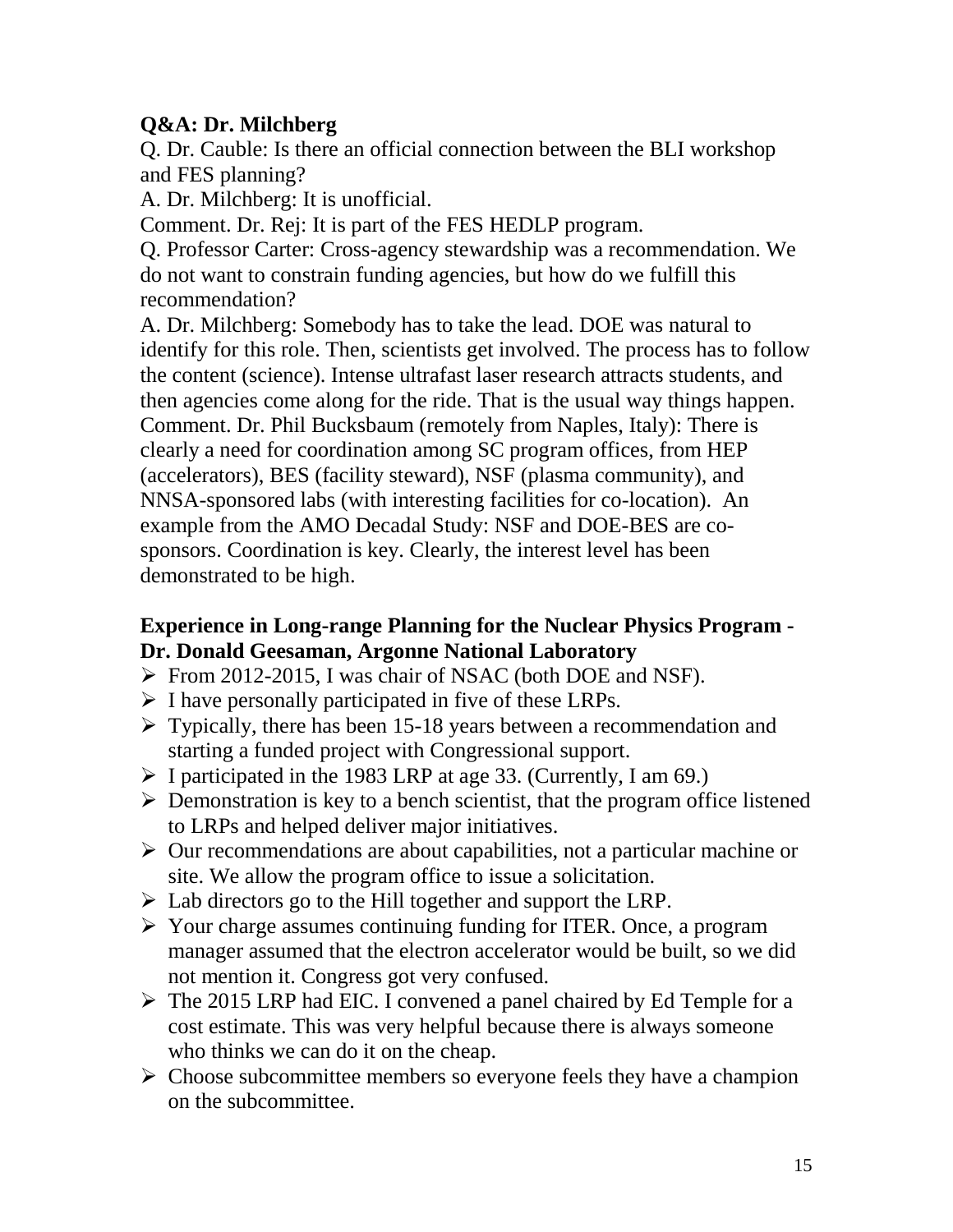# **Q&A: Dr. Milchberg**

Q. Dr. Cauble: Is there an official connection between the BLI workshop and FES planning?

A. Dr. Milchberg: It is unofficial.

Comment. Dr. Rej: It is part of the FES HEDLP program.

Q. Professor Carter: Cross-agency stewardship was a recommendation. We do not want to constrain funding agencies, but how do we fulfill this recommendation?

A. Dr. Milchberg: Somebody has to take the lead. DOE was natural to identify for this role. Then, scientists get involved. The process has to follow the content (science). Intense ultrafast laser research attracts students, and then agencies come along for the ride. That is the usual way things happen. Comment. Dr. Phil Bucksbaum (remotely from Naples, Italy): There is clearly a need for coordination among SC program offices, from HEP (accelerators), BES (facility steward), NSF (plasma community), and NNSA-sponsored labs (with interesting facilities for co-location). An example from the AMO Decadal Study: NSF and DOE-BES are cosponsors. Coordination is key. Clearly, the interest level has been demonstrated to be high.

#### **Experience in Long-range Planning for the Nuclear Physics Program - Dr. Donald Geesaman, Argonne National Laboratory**

- From 2012-2015, I was chair of NSAC (both DOE and NSF).
- $\triangleright$  I have personally participated in five of these LRPs.
- $\triangleright$  Typically, there has been 15-18 years between a recommendation and starting a funded project with Congressional support.
- $\triangleright$  I participated in the 1983 LRP at age 33. (Currently, I am 69.)
- $\triangleright$  Demonstration is key to a bench scientist, that the program office listened to LRPs and helped deliver major initiatives.
- $\triangleright$  Our recommendations are about capabilities, not a particular machine or site. We allow the program office to issue a solicitation.
- $\triangleright$  Lab directors go to the Hill together and support the LRP.
- Your charge assumes continuing funding for ITER. Once, a program manager assumed that the electron accelerator would be built, so we did not mention it. Congress got very confused.
- $\triangleright$  The 2015 LRP had EIC. I convened a panel chaired by Ed Temple for a cost estimate. This was very helpful because there is always someone who thinks we can do it on the cheap.
- $\triangleright$  Choose subcommittee members so everyone feels they have a champion on the subcommittee.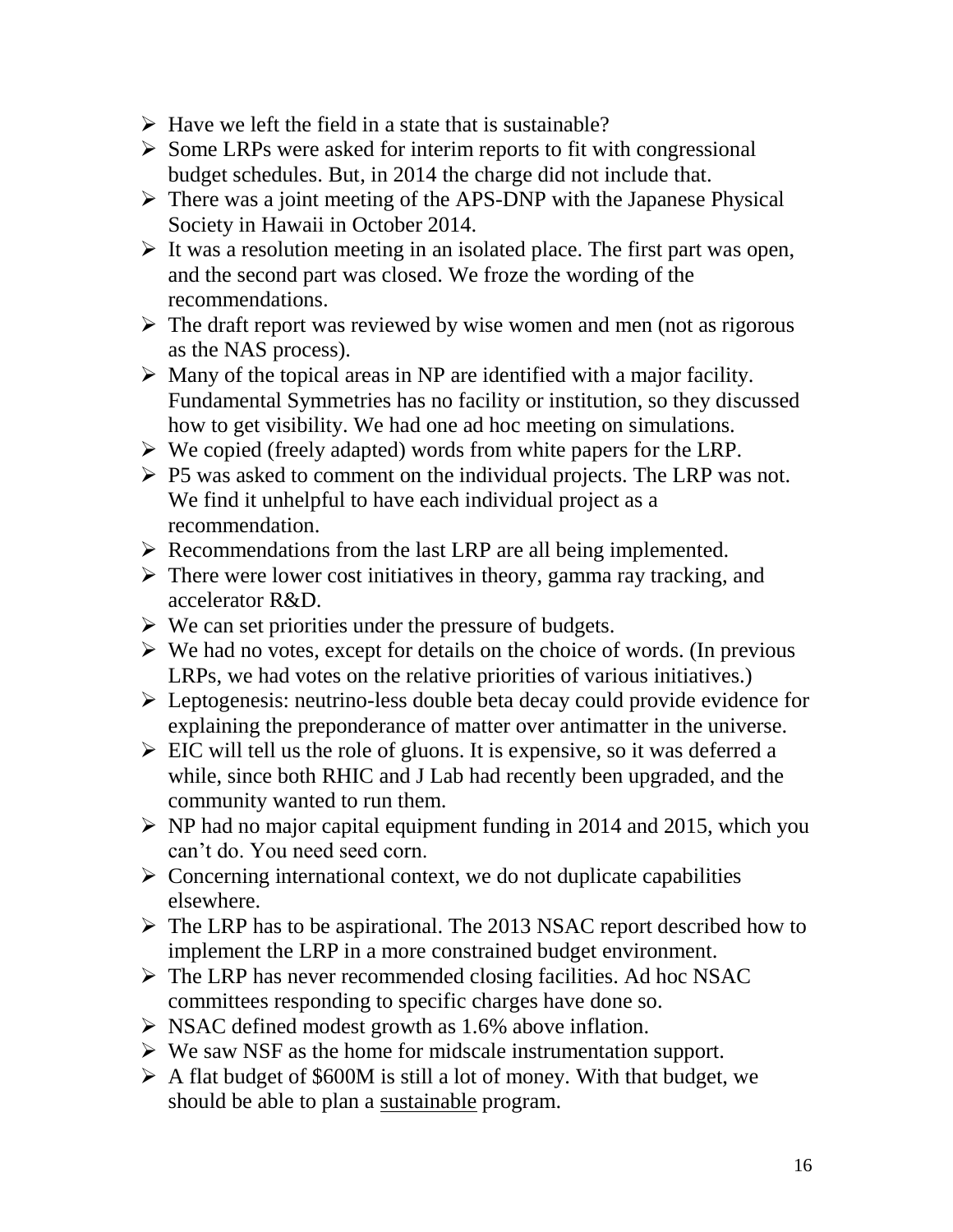- $\triangleright$  Have we left the field in a state that is sustainable?
- $\triangleright$  Some LRPs were asked for interim reports to fit with congressional budget schedules. But, in 2014 the charge did not include that.
- $\triangleright$  There was a joint meeting of the APS-DNP with the Japanese Physical Society in Hawaii in October 2014.
- $\triangleright$  It was a resolution meeting in an isolated place. The first part was open, and the second part was closed. We froze the wording of the recommendations.
- $\triangleright$  The draft report was reviewed by wise women and men (not as rigorous as the NAS process).
- $\triangleright$  Many of the topical areas in NP are identified with a major facility. Fundamental Symmetries has no facility or institution, so they discussed how to get visibility. We had one ad hoc meeting on simulations.
- $\triangleright$  We copied (freely adapted) words from white papers for the LRP.
- $\triangleright$  P5 was asked to comment on the individual projects. The LRP was not. We find it unhelpful to have each individual project as a recommendation.
- $\triangleright$  Recommendations from the last LRP are all being implemented.
- $\triangleright$  There were lower cost initiatives in theory, gamma ray tracking, and accelerator R&D.
- $\triangleright$  We can set priorities under the pressure of budgets.
- $\triangleright$  We had no votes, except for details on the choice of words. (In previous LRPs, we had votes on the relative priorities of various initiatives.)
- Leptogenesis: neutrino-less double beta decay could provide evidence for explaining the preponderance of matter over antimatter in the universe.
- $\triangleright$  EIC will tell us the role of gluons. It is expensive, so it was deferred a while, since both RHIC and J Lab had recently been upgraded, and the community wanted to run them.
- $\triangleright$  NP had no major capital equipment funding in 2014 and 2015, which you can't do. You need seed corn.
- $\triangleright$  Concerning international context, we do not duplicate capabilities elsewhere.
- $\triangleright$  The LRP has to be aspirational. The 2013 NSAC report described how to implement the LRP in a more constrained budget environment.
- $\triangleright$  The LRP has never recommended closing facilities. Ad hoc NSAC committees responding to specific charges have done so.
- $\triangleright$  NSAC defined modest growth as 1.6% above inflation.
- $\triangleright$  We saw NSF as the home for midscale instrumentation support.
- $\triangleright$  A flat budget of \$600M is still a lot of money. With that budget, we should be able to plan a sustainable program.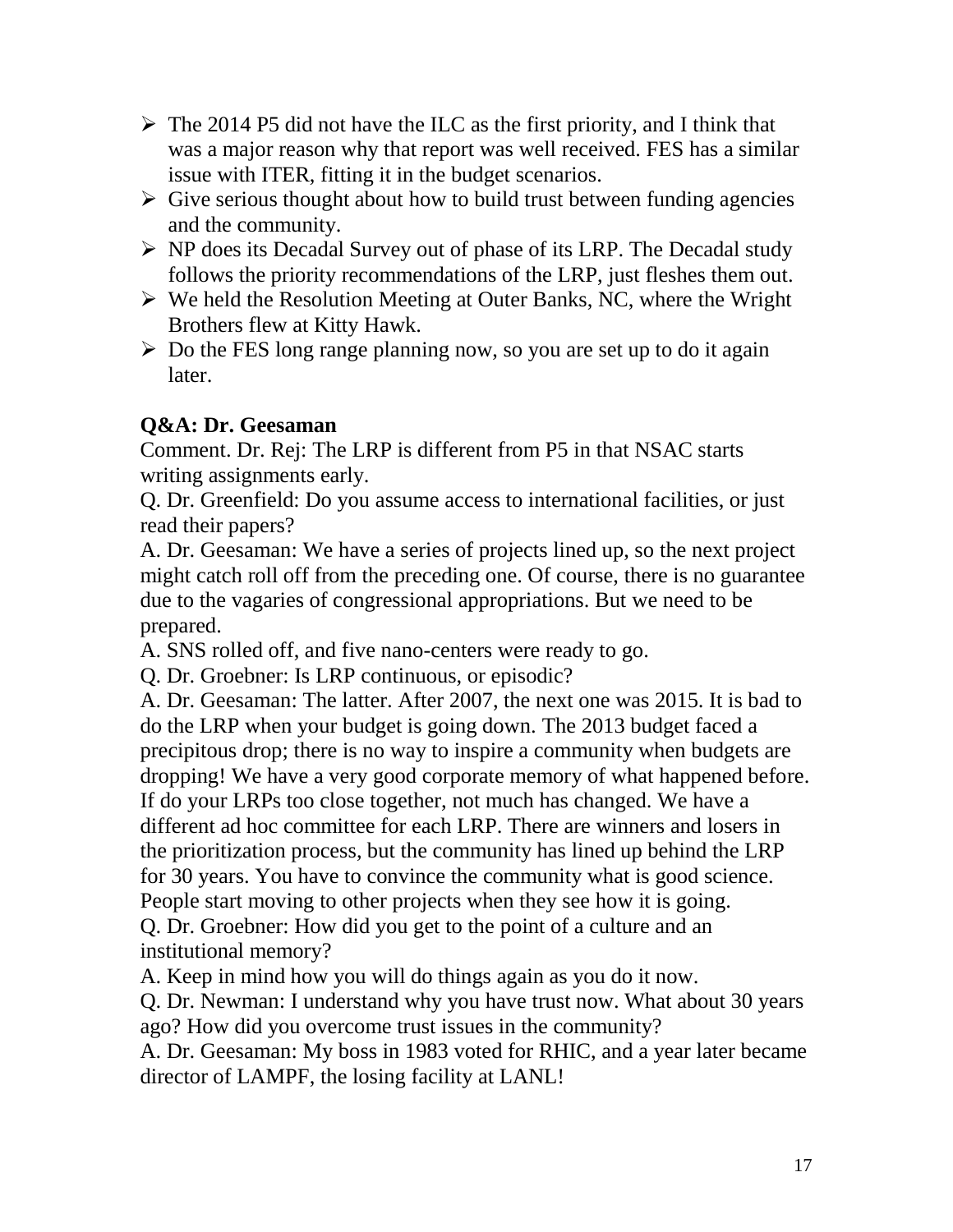- $\triangleright$  The 2014 P5 did not have the ILC as the first priority, and I think that was a major reason why that report was well received. FES has a similar issue with ITER, fitting it in the budget scenarios.
- $\triangleright$  Give serious thought about how to build trust between funding agencies and the community.
- $\triangleright$  NP does its Decadal Survey out of phase of its LRP. The Decadal study follows the priority recommendations of the LRP, just fleshes them out.
- $\triangleright$  We held the Resolution Meeting at Outer Banks, NC, where the Wright Brothers flew at Kitty Hawk.
- $\triangleright$  Do the FES long range planning now, so you are set up to do it again later.

### **Q&A: Dr. Geesaman**

Comment. Dr. Rej: The LRP is different from P5 in that NSAC starts writing assignments early.

Q. Dr. Greenfield: Do you assume access to international facilities, or just read their papers?

A. Dr. Geesaman: We have a series of projects lined up, so the next project might catch roll off from the preceding one. Of course, there is no guarantee due to the vagaries of congressional appropriations. But we need to be prepared.

A. SNS rolled off, and five nano-centers were ready to go.

Q. Dr. Groebner: Is LRP continuous, or episodic?

A. Dr. Geesaman: The latter. After 2007, the next one was 2015. It is bad to do the LRP when your budget is going down. The 2013 budget faced a precipitous drop; there is no way to inspire a community when budgets are dropping! We have a very good corporate memory of what happened before. If do your LRPs too close together, not much has changed. We have a different ad hoc committee for each LRP. There are winners and losers in the prioritization process, but the community has lined up behind the LRP for 30 years. You have to convince the community what is good science. People start moving to other projects when they see how it is going. Q. Dr. Groebner: How did you get to the point of a culture and an institutional memory?

A. Keep in mind how you will do things again as you do it now.

Q. Dr. Newman: I understand why you have trust now. What about 30 years ago? How did you overcome trust issues in the community?

A. Dr. Geesaman: My boss in 1983 voted for RHIC, and a year later became director of LAMPF, the losing facility at LANL!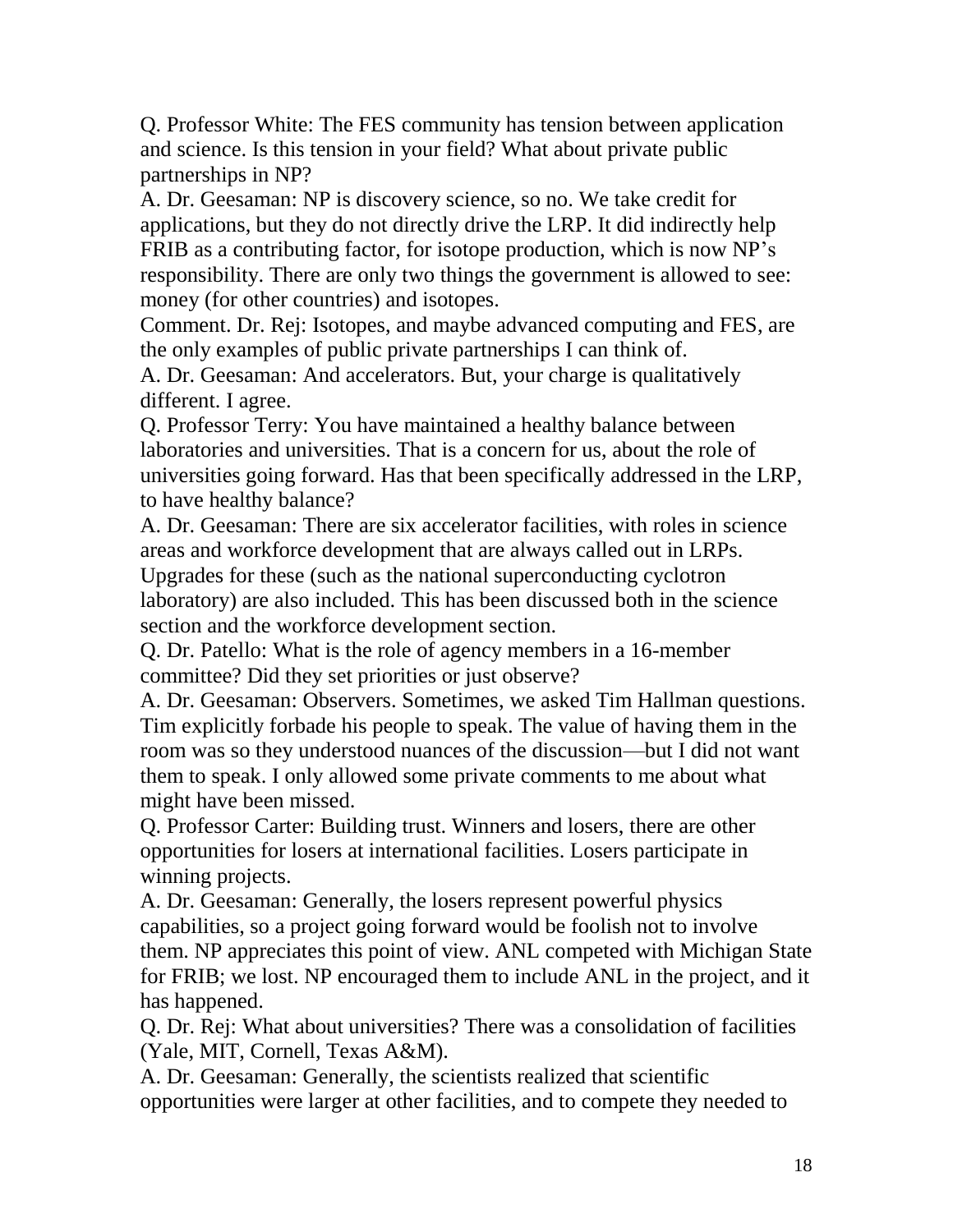Q. Professor White: The FES community has tension between application and science. Is this tension in your field? What about private public partnerships in NP?

A. Dr. Geesaman: NP is discovery science, so no. We take credit for applications, but they do not directly drive the LRP. It did indirectly help FRIB as a contributing factor, for isotope production, which is now NP's responsibility. There are only two things the government is allowed to see: money (for other countries) and isotopes.

Comment. Dr. Rej: Isotopes, and maybe advanced computing and FES, are the only examples of public private partnerships I can think of.

A. Dr. Geesaman: And accelerators. But, your charge is qualitatively different. I agree.

Q. Professor Terry: You have maintained a healthy balance between laboratories and universities. That is a concern for us, about the role of universities going forward. Has that been specifically addressed in the LRP, to have healthy balance?

A. Dr. Geesaman: There are six accelerator facilities, with roles in science areas and workforce development that are always called out in LRPs. Upgrades for these (such as the national superconducting cyclotron

laboratory) are also included. This has been discussed both in the science section and the workforce development section.

Q. Dr. Patello: What is the role of agency members in a 16-member committee? Did they set priorities or just observe?

A. Dr. Geesaman: Observers. Sometimes, we asked Tim Hallman questions. Tim explicitly forbade his people to speak. The value of having them in the room was so they understood nuances of the discussion—but I did not want them to speak. I only allowed some private comments to me about what might have been missed.

Q. Professor Carter: Building trust. Winners and losers, there are other opportunities for losers at international facilities. Losers participate in winning projects.

A. Dr. Geesaman: Generally, the losers represent powerful physics capabilities, so a project going forward would be foolish not to involve them. NP appreciates this point of view. ANL competed with Michigan State for FRIB; we lost. NP encouraged them to include ANL in the project, and it has happened.

Q. Dr. Rej: What about universities? There was a consolidation of facilities (Yale, MIT, Cornell, Texas A&M).

A. Dr. Geesaman: Generally, the scientists realized that scientific opportunities were larger at other facilities, and to compete they needed to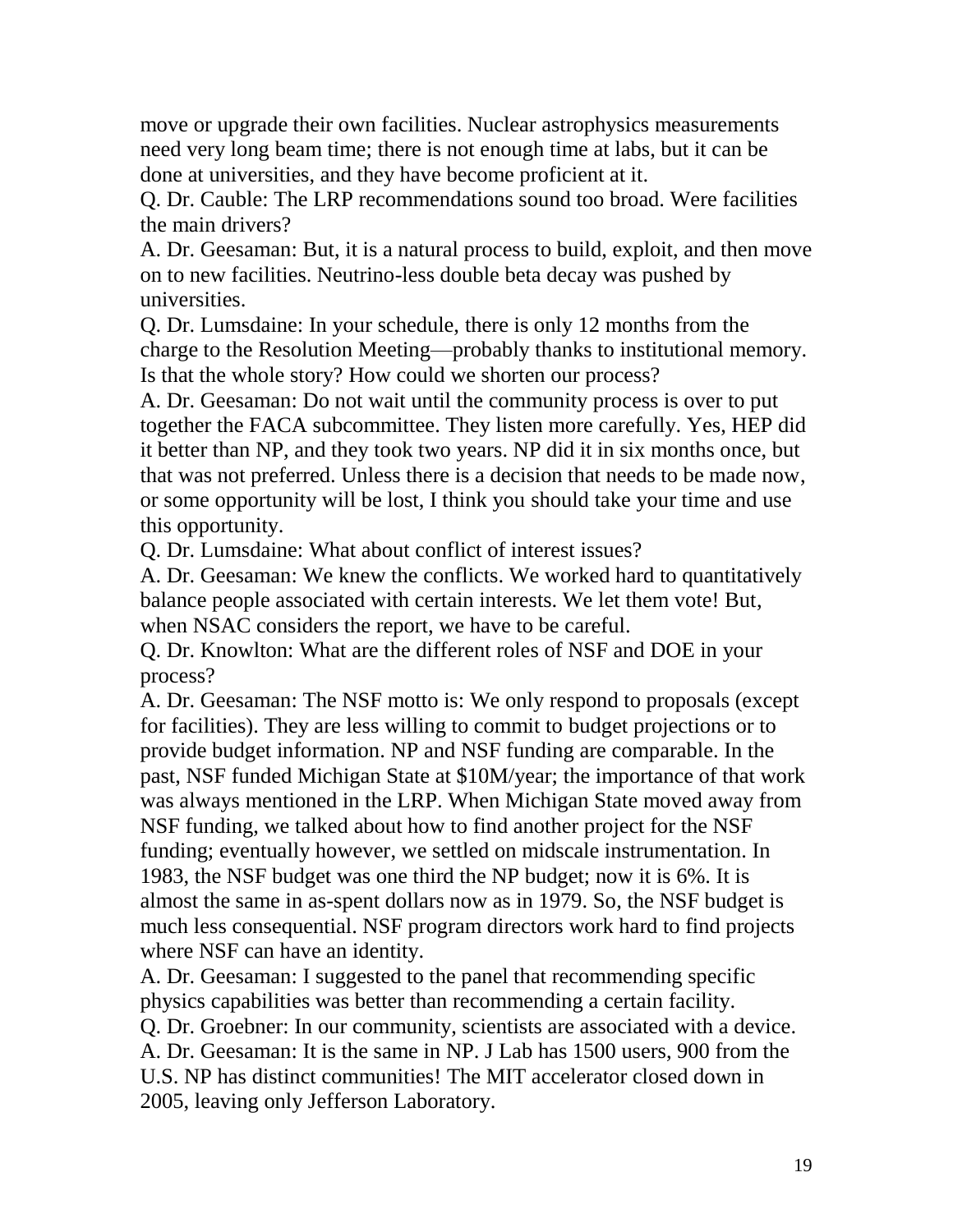move or upgrade their own facilities. Nuclear astrophysics measurements need very long beam time; there is not enough time at labs, but it can be done at universities, and they have become proficient at it.

Q. Dr. Cauble: The LRP recommendations sound too broad. Were facilities the main drivers?

A. Dr. Geesaman: But, it is a natural process to build, exploit, and then move on to new facilities. Neutrino-less double beta decay was pushed by universities.

Q. Dr. Lumsdaine: In your schedule, there is only 12 months from the charge to the Resolution Meeting—probably thanks to institutional memory. Is that the whole story? How could we shorten our process?

A. Dr. Geesaman: Do not wait until the community process is over to put together the FACA subcommittee. They listen more carefully. Yes, HEP did it better than NP, and they took two years. NP did it in six months once, but that was not preferred. Unless there is a decision that needs to be made now, or some opportunity will be lost, I think you should take your time and use this opportunity.

Q. Dr. Lumsdaine: What about conflict of interest issues?

A. Dr. Geesaman: We knew the conflicts. We worked hard to quantitatively balance people associated with certain interests. We let them vote! But, when NSAC considers the report, we have to be careful.

Q. Dr. Knowlton: What are the different roles of NSF and DOE in your process?

A. Dr. Geesaman: The NSF motto is: We only respond to proposals (except for facilities). They are less willing to commit to budget projections or to provide budget information. NP and NSF funding are comparable. In the past, NSF funded Michigan State at \$10M/year; the importance of that work was always mentioned in the LRP. When Michigan State moved away from NSF funding, we talked about how to find another project for the NSF funding; eventually however, we settled on midscale instrumentation. In 1983, the NSF budget was one third the NP budget; now it is 6%. It is almost the same in as-spent dollars now as in 1979. So, the NSF budget is much less consequential. NSF program directors work hard to find projects where NSF can have an identity.

A. Dr. Geesaman: I suggested to the panel that recommending specific physics capabilities was better than recommending a certain facility. Q. Dr. Groebner: In our community, scientists are associated with a device. A. Dr. Geesaman: It is the same in NP. J Lab has 1500 users, 900 from the U.S. NP has distinct communities! The MIT accelerator closed down in 2005, leaving only Jefferson Laboratory.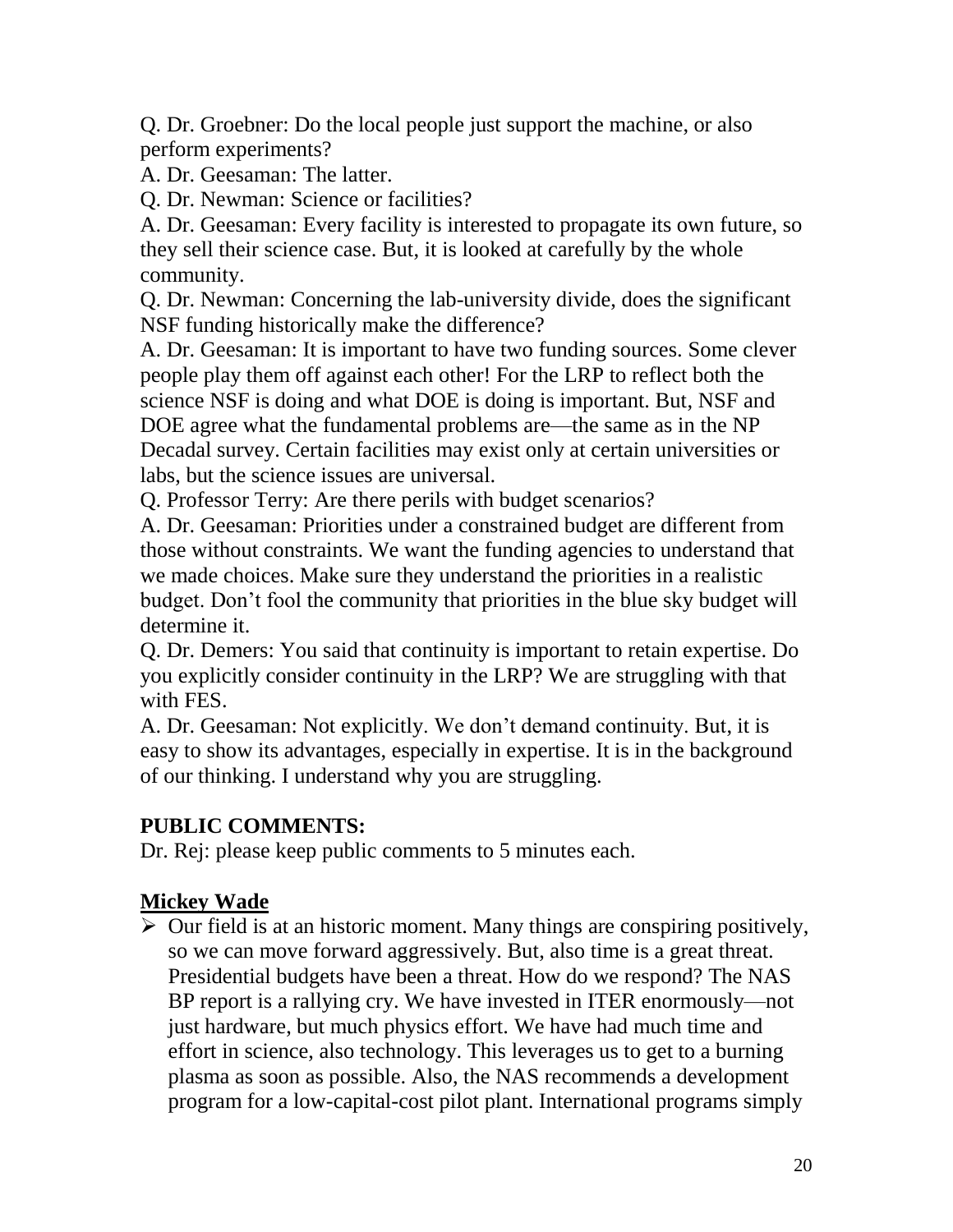Q. Dr. Groebner: Do the local people just support the machine, or also perform experiments?

A. Dr. Geesaman: The latter.

Q. Dr. Newman: Science or facilities?

A. Dr. Geesaman: Every facility is interested to propagate its own future, so they sell their science case. But, it is looked at carefully by the whole community.

Q. Dr. Newman: Concerning the lab-university divide, does the significant NSF funding historically make the difference?

A. Dr. Geesaman: It is important to have two funding sources. Some clever people play them off against each other! For the LRP to reflect both the science NSF is doing and what DOE is doing is important. But, NSF and DOE agree what the fundamental problems are—the same as in the NP Decadal survey. Certain facilities may exist only at certain universities or labs, but the science issues are universal.

Q. Professor Terry: Are there perils with budget scenarios?

A. Dr. Geesaman: Priorities under a constrained budget are different from those without constraints. We want the funding agencies to understand that we made choices. Make sure they understand the priorities in a realistic budget. Don't fool the community that priorities in the blue sky budget will determine it.

Q. Dr. Demers: You said that continuity is important to retain expertise. Do you explicitly consider continuity in the LRP? We are struggling with that with FES.

A. Dr. Geesaman: Not explicitly. We don't demand continuity. But, it is easy to show its advantages, especially in expertise. It is in the background of our thinking. I understand why you are struggling.

### **PUBLIC COMMENTS:**

Dr. Rej: please keep public comments to 5 minutes each.

# **Mickey Wade**

 $\triangleright$  Our field is at an historic moment. Many things are conspiring positively, so we can move forward aggressively. But, also time is a great threat. Presidential budgets have been a threat. How do we respond? The NAS BP report is a rallying cry. We have invested in ITER enormously—not just hardware, but much physics effort. We have had much time and effort in science, also technology. This leverages us to get to a burning plasma as soon as possible. Also, the NAS recommends a development program for a low-capital-cost pilot plant. International programs simply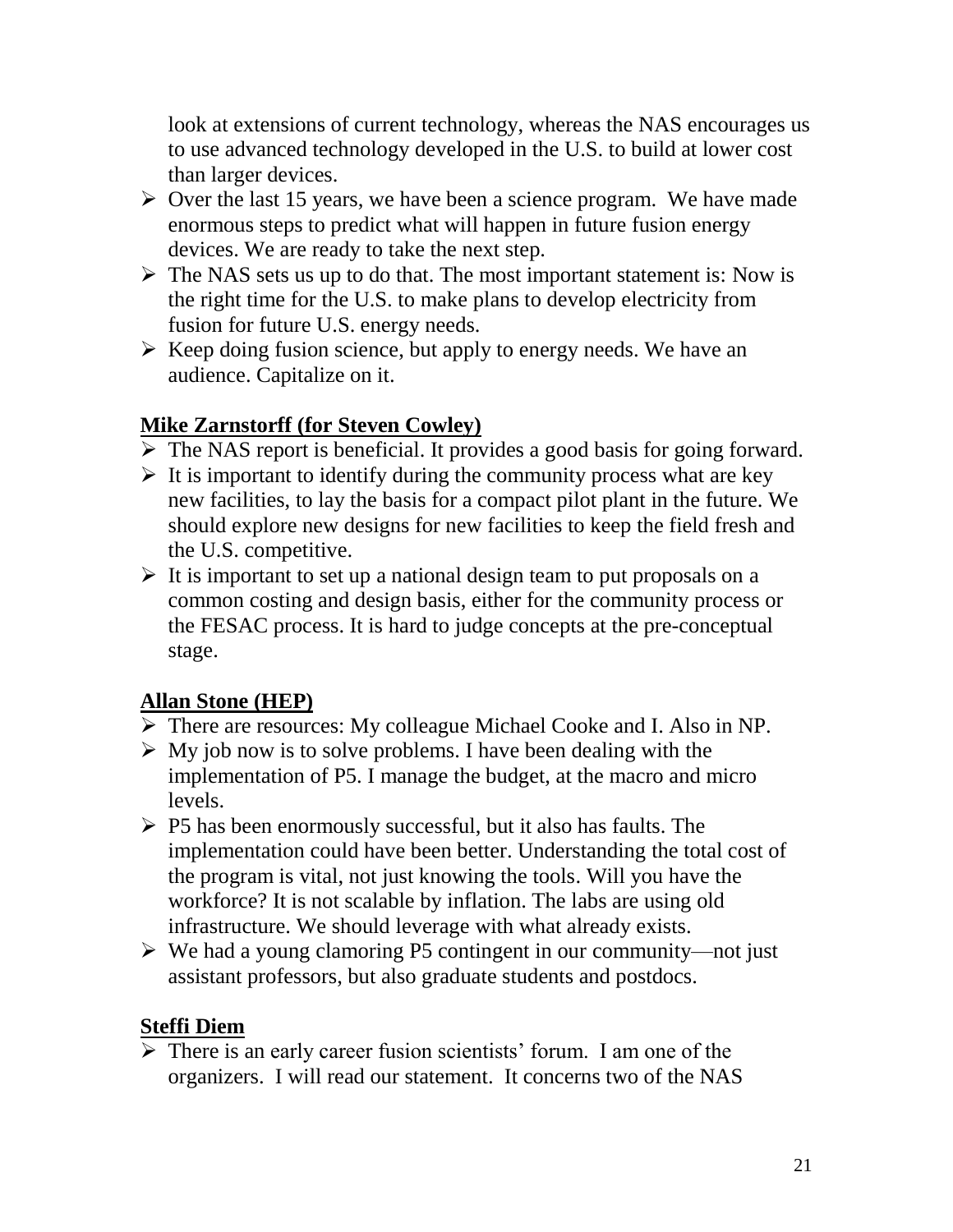look at extensions of current technology, whereas the NAS encourages us to use advanced technology developed in the U.S. to build at lower cost than larger devices.

- $\triangleright$  Over the last 15 years, we have been a science program. We have made enormous steps to predict what will happen in future fusion energy devices. We are ready to take the next step.
- $\triangleright$  The NAS sets us up to do that. The most important statement is: Now is the right time for the U.S. to make plans to develop electricity from fusion for future U.S. energy needs.
- $\triangleright$  Keep doing fusion science, but apply to energy needs. We have an audience. Capitalize on it.

# **Mike Zarnstorff (for Steven Cowley)**

- $\triangleright$  The NAS report is beneficial. It provides a good basis for going forward.
- $\triangleright$  It is important to identify during the community process what are key new facilities, to lay the basis for a compact pilot plant in the future. We should explore new designs for new facilities to keep the field fresh and the U.S. competitive.
- $\triangleright$  It is important to set up a national design team to put proposals on a common costing and design basis, either for the community process or the FESAC process. It is hard to judge concepts at the pre-conceptual stage.

# **Allan Stone (HEP)**

- There are resources: My colleague Michael Cooke and I. Also in NP.
- $\triangleright$  My job now is to solve problems. I have been dealing with the implementation of P5. I manage the budget, at the macro and micro levels.
- $\triangleright$  P5 has been enormously successful, but it also has faults. The implementation could have been better. Understanding the total cost of the program is vital, not just knowing the tools. Will you have the workforce? It is not scalable by inflation. The labs are using old infrastructure. We should leverage with what already exists.
- $\triangleright$  We had a young clamoring P5 contingent in our community—not just assistant professors, but also graduate students and postdocs.

### **Steffi Diem**

 $\triangleright$  There is an early career fusion scientists' forum. I am one of the organizers. I will read our statement. It concerns two of the NAS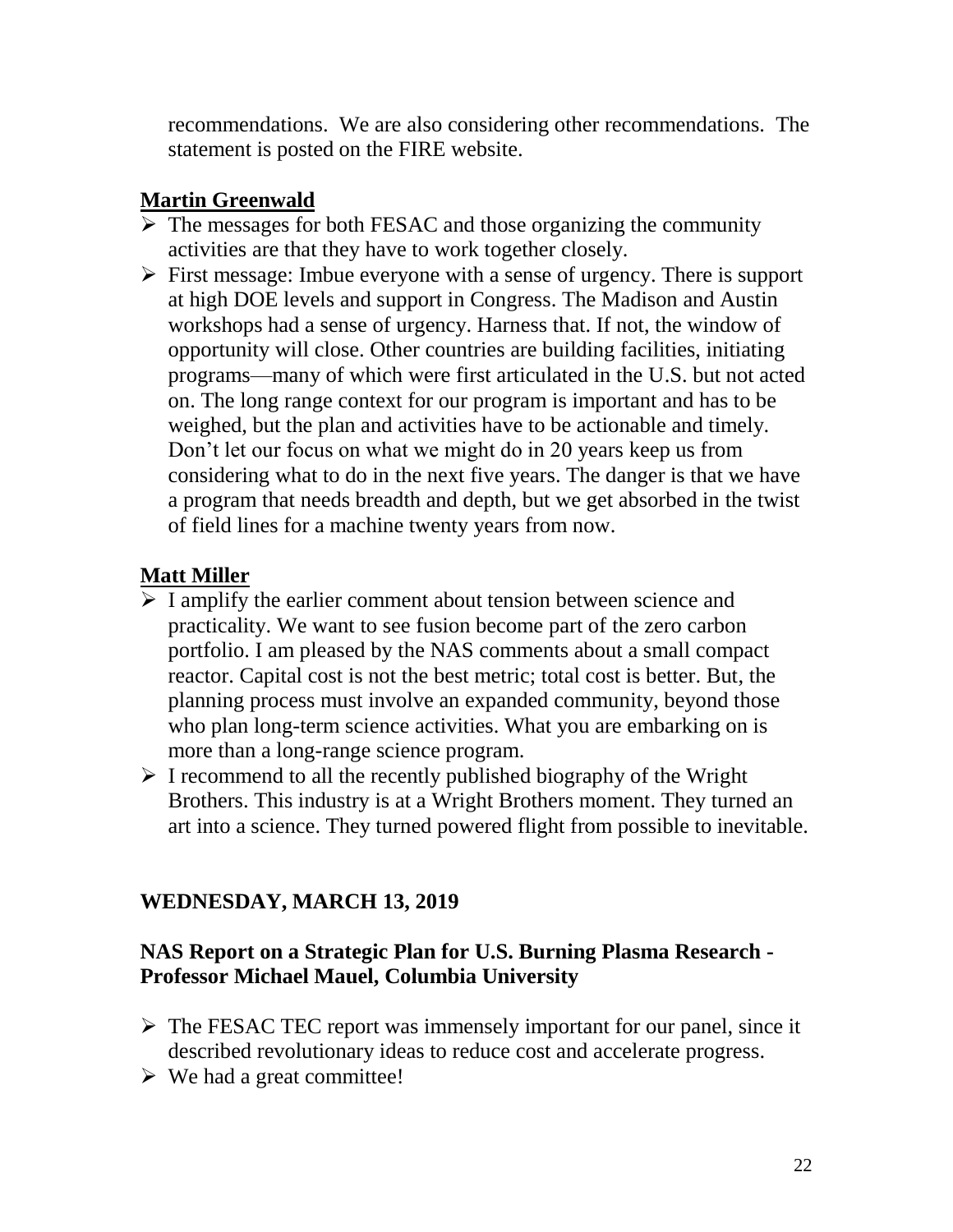recommendations. We are also considering other recommendations. The statement is posted on the FIRE website.

# **Martin Greenwald**

- $\triangleright$  The messages for both FESAC and those organizing the community activities are that they have to work together closely.
- $\triangleright$  First message: Imbue everyone with a sense of urgency. There is support at high DOE levels and support in Congress. The Madison and Austin workshops had a sense of urgency. Harness that. If not, the window of opportunity will close. Other countries are building facilities, initiating programs—many of which were first articulated in the U.S. but not acted on. The long range context for our program is important and has to be weighed, but the plan and activities have to be actionable and timely. Don't let our focus on what we might do in 20 years keep us from considering what to do in the next five years. The danger is that we have a program that needs breadth and depth, but we get absorbed in the twist of field lines for a machine twenty years from now.

# **Matt Miller**

- $\triangleright$  I amplify the earlier comment about tension between science and practicality. We want to see fusion become part of the zero carbon portfolio. I am pleased by the NAS comments about a small compact reactor. Capital cost is not the best metric; total cost is better. But, the planning process must involve an expanded community, beyond those who plan long-term science activities. What you are embarking on is more than a long-range science program.
- $\triangleright$  I recommend to all the recently published biography of the Wright Brothers. This industry is at a Wright Brothers moment. They turned an art into a science. They turned powered flight from possible to inevitable.

# **WEDNESDAY, MARCH 13, 2019**

### **NAS Report on a Strategic Plan for U.S. Burning Plasma Research - Professor Michael Mauel, Columbia University**

- $\triangleright$  The FESAC TEC report was immensely important for our panel, since it described revolutionary ideas to reduce cost and accelerate progress.
- $\triangleright$  We had a great committee!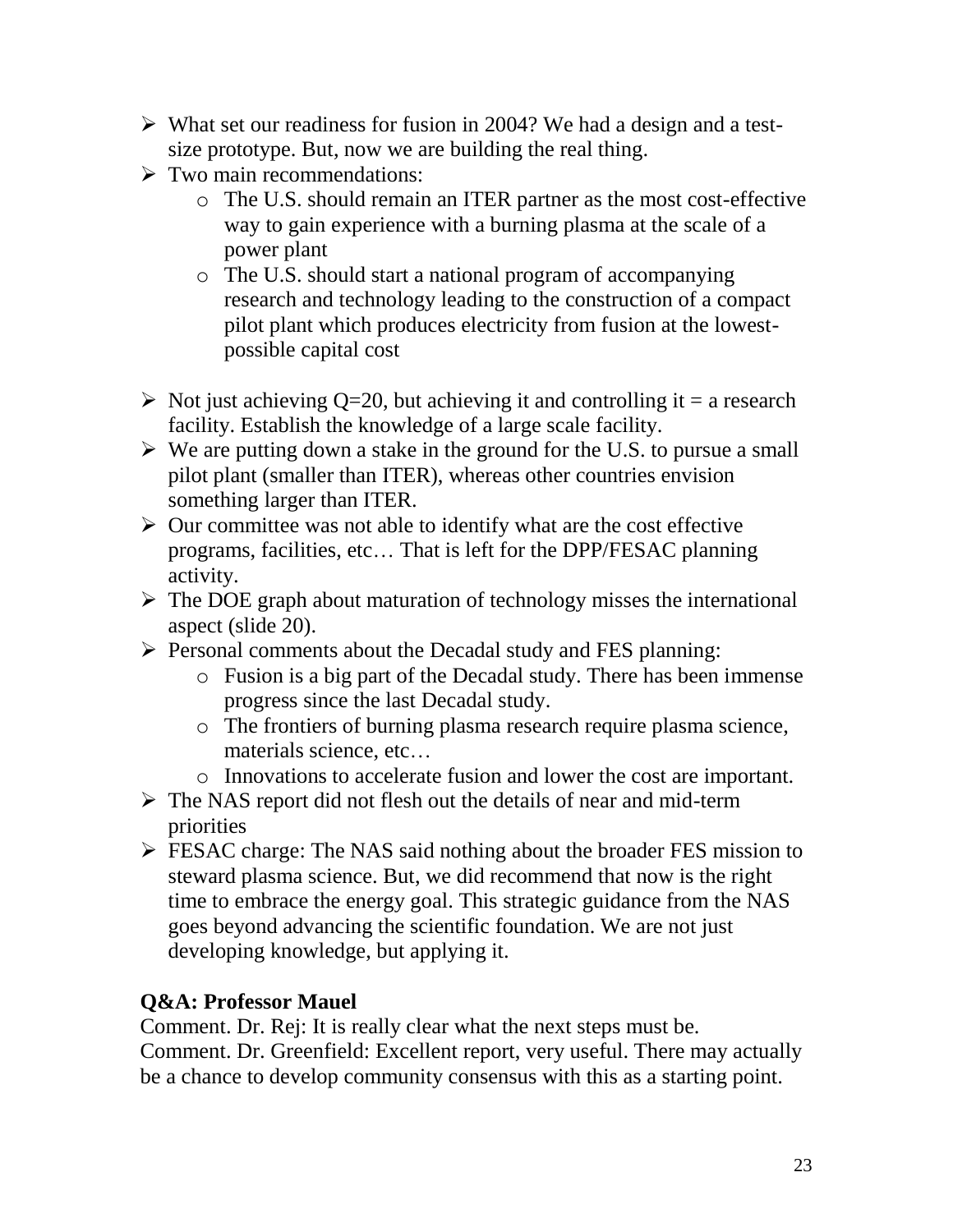- $\triangleright$  What set our readiness for fusion in 2004? We had a design and a testsize prototype. But, now we are building the real thing.
- $\triangleright$  Two main recommendations:
	- o The U.S. should remain an ITER partner as the most cost-effective way to gain experience with a burning plasma at the scale of a power plant
	- o The U.S. should start a national program of accompanying research and technology leading to the construction of a compact pilot plant which produces electricity from fusion at the lowestpossible capital cost
- $\triangleright$  Not just achieving Q=20, but achieving it and controlling it = a research facility. Establish the knowledge of a large scale facility.
- $\triangleright$  We are putting down a stake in the ground for the U.S. to pursue a small pilot plant (smaller than ITER), whereas other countries envision something larger than ITER.
- $\triangleright$  Our committee was not able to identify what are the cost effective programs, facilities, etc… That is left for the DPP/FESAC planning activity.
- $\triangleright$  The DOE graph about maturation of technology misses the international aspect (slide 20).
- $\triangleright$  Personal comments about the Decadal study and FES planning:
	- o Fusion is a big part of the Decadal study. There has been immense progress since the last Decadal study.
	- o The frontiers of burning plasma research require plasma science, materials science, etc…
	- o Innovations to accelerate fusion and lower the cost are important.
- The NAS report did not flesh out the details of near and mid-term priorities
- **FESAC** charge: The NAS said nothing about the broader FES mission to steward plasma science. But, we did recommend that now is the right time to embrace the energy goal. This strategic guidance from the NAS goes beyond advancing the scientific foundation. We are not just developing knowledge, but applying it.

# **Q&A: Professor Mauel**

Comment. Dr. Rej: It is really clear what the next steps must be. Comment. Dr. Greenfield: Excellent report, very useful. There may actually be a chance to develop community consensus with this as a starting point.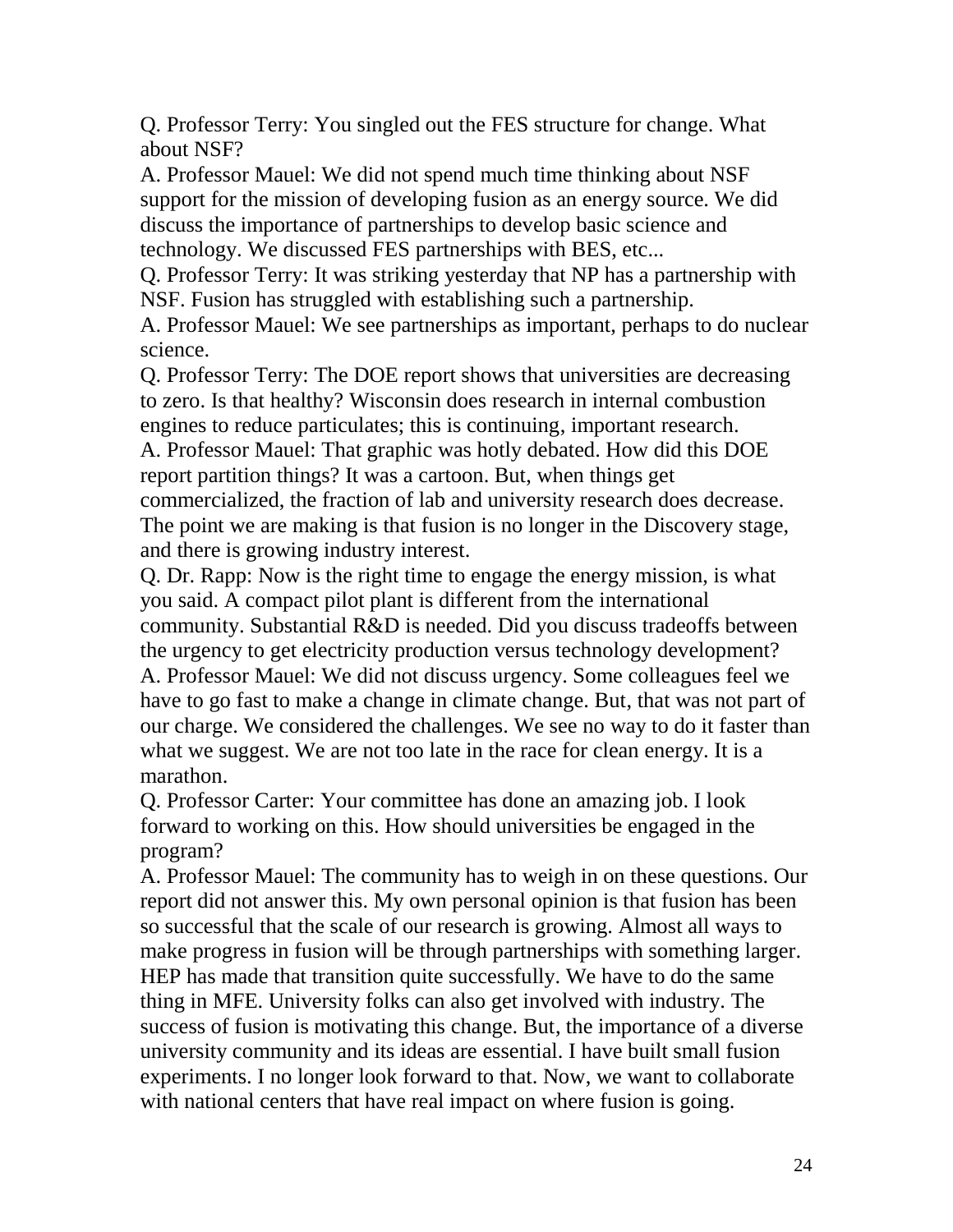Q. Professor Terry: You singled out the FES structure for change. What about NSF?

A. Professor Mauel: We did not spend much time thinking about NSF support for the mission of developing fusion as an energy source. We did discuss the importance of partnerships to develop basic science and technology. We discussed FES partnerships with BES, etc...

Q. Professor Terry: It was striking yesterday that NP has a partnership with NSF. Fusion has struggled with establishing such a partnership.

A. Professor Mauel: We see partnerships as important, perhaps to do nuclear science.

Q. Professor Terry: The DOE report shows that universities are decreasing to zero. Is that healthy? Wisconsin does research in internal combustion engines to reduce particulates; this is continuing, important research. A. Professor Mauel: That graphic was hotly debated. How did this DOE report partition things? It was a cartoon. But, when things get commercialized, the fraction of lab and university research does decrease. The point we are making is that fusion is no longer in the Discovery stage, and there is growing industry interest.

Q. Dr. Rapp: Now is the right time to engage the energy mission, is what you said. A compact pilot plant is different from the international community. Substantial R&D is needed. Did you discuss tradeoffs between the urgency to get electricity production versus technology development? A. Professor Mauel: We did not discuss urgency. Some colleagues feel we have to go fast to make a change in climate change. But, that was not part of our charge. We considered the challenges. We see no way to do it faster than what we suggest. We are not too late in the race for clean energy. It is a marathon.

Q. Professor Carter: Your committee has done an amazing job. I look forward to working on this. How should universities be engaged in the program?

A. Professor Mauel: The community has to weigh in on these questions. Our report did not answer this. My own personal opinion is that fusion has been so successful that the scale of our research is growing. Almost all ways to make progress in fusion will be through partnerships with something larger. HEP has made that transition quite successfully. We have to do the same thing in MFE. University folks can also get involved with industry. The success of fusion is motivating this change. But, the importance of a diverse university community and its ideas are essential. I have built small fusion experiments. I no longer look forward to that. Now, we want to collaborate with national centers that have real impact on where fusion is going.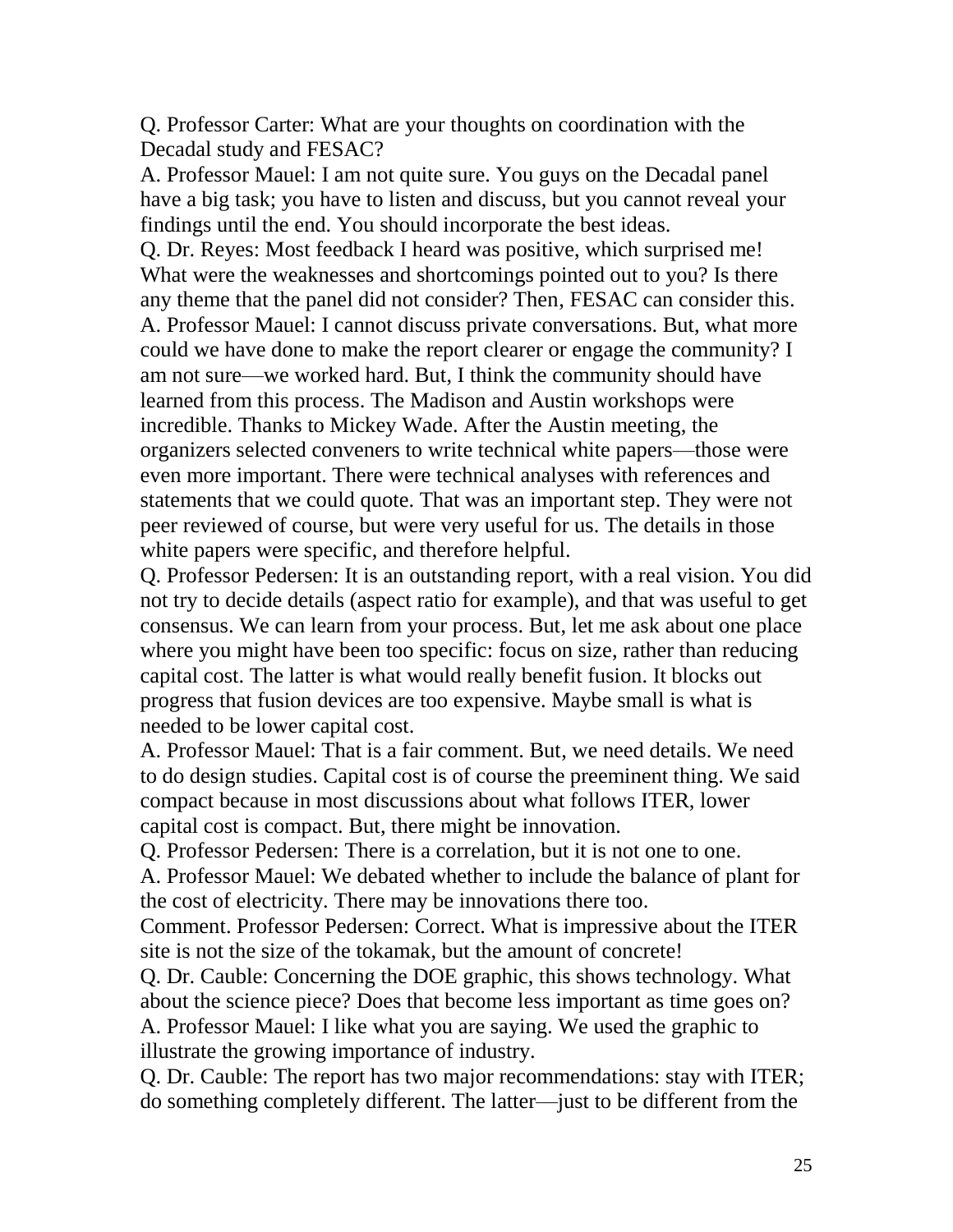Q. Professor Carter: What are your thoughts on coordination with the Decadal study and FESAC?

A. Professor Mauel: I am not quite sure. You guys on the Decadal panel have a big task; you have to listen and discuss, but you cannot reveal your findings until the end. You should incorporate the best ideas.

Q. Dr. Reyes: Most feedback I heard was positive, which surprised me! What were the weaknesses and shortcomings pointed out to you? Is there any theme that the panel did not consider? Then, FESAC can consider this. A. Professor Mauel: I cannot discuss private conversations. But, what more could we have done to make the report clearer or engage the community? I am not sure—we worked hard. But, I think the community should have learned from this process. The Madison and Austin workshops were incredible. Thanks to Mickey Wade. After the Austin meeting, the organizers selected conveners to write technical white papers—those were even more important. There were technical analyses with references and statements that we could quote. That was an important step. They were not peer reviewed of course, but were very useful for us. The details in those white papers were specific, and therefore helpful.

Q. Professor Pedersen: It is an outstanding report, with a real vision. You did not try to decide details (aspect ratio for example), and that was useful to get consensus. We can learn from your process. But, let me ask about one place where you might have been too specific: focus on size, rather than reducing capital cost. The latter is what would really benefit fusion. It blocks out progress that fusion devices are too expensive. Maybe small is what is needed to be lower capital cost.

A. Professor Mauel: That is a fair comment. But, we need details. We need to do design studies. Capital cost is of course the preeminent thing. We said compact because in most discussions about what follows ITER, lower capital cost is compact. But, there might be innovation.

Q. Professor Pedersen: There is a correlation, but it is not one to one. A. Professor Mauel: We debated whether to include the balance of plant for the cost of electricity. There may be innovations there too.

Comment. Professor Pedersen: Correct. What is impressive about the ITER site is not the size of the tokamak, but the amount of concrete!

Q. Dr. Cauble: Concerning the DOE graphic, this shows technology. What about the science piece? Does that become less important as time goes on? A. Professor Mauel: I like what you are saying. We used the graphic to illustrate the growing importance of industry.

Q. Dr. Cauble: The report has two major recommendations: stay with ITER; do something completely different. The latter—just to be different from the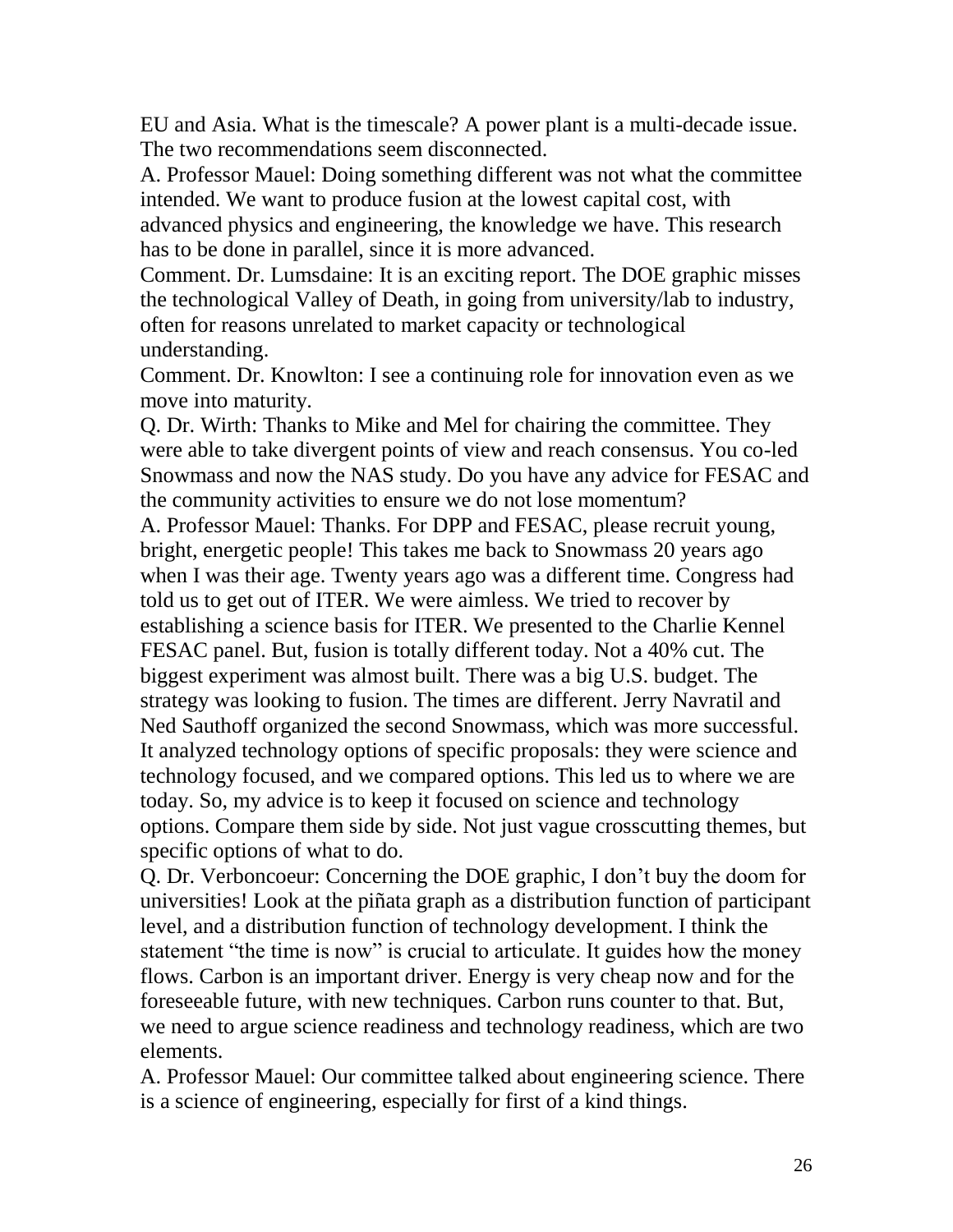EU and Asia. What is the timescale? A power plant is a multi-decade issue. The two recommendations seem disconnected.

A. Professor Mauel: Doing something different was not what the committee intended. We want to produce fusion at the lowest capital cost, with advanced physics and engineering, the knowledge we have. This research has to be done in parallel, since it is more advanced.

Comment. Dr. Lumsdaine: It is an exciting report. The DOE graphic misses the technological Valley of Death, in going from university/lab to industry, often for reasons unrelated to market capacity or technological understanding.

Comment. Dr. Knowlton: I see a continuing role for innovation even as we move into maturity.

Q. Dr. Wirth: Thanks to Mike and Mel for chairing the committee. They were able to take divergent points of view and reach consensus. You co-led Snowmass and now the NAS study. Do you have any advice for FESAC and the community activities to ensure we do not lose momentum?

A. Professor Mauel: Thanks. For DPP and FESAC, please recruit young, bright, energetic people! This takes me back to Snowmass 20 years ago when I was their age. Twenty years ago was a different time. Congress had told us to get out of ITER. We were aimless. We tried to recover by establishing a science basis for ITER. We presented to the Charlie Kennel FESAC panel. But, fusion is totally different today. Not a 40% cut. The biggest experiment was almost built. There was a big U.S. budget. The strategy was looking to fusion. The times are different. Jerry Navratil and Ned Sauthoff organized the second Snowmass, which was more successful. It analyzed technology options of specific proposals: they were science and technology focused, and we compared options. This led us to where we are today. So, my advice is to keep it focused on science and technology options. Compare them side by side. Not just vague crosscutting themes, but specific options of what to do.

Q. Dr. Verboncoeur: Concerning the DOE graphic, I don't buy the doom for universities! Look at the piñata graph as a distribution function of participant level, and a distribution function of technology development. I think the statement "the time is now" is crucial to articulate. It guides how the money flows. Carbon is an important driver. Energy is very cheap now and for the foreseeable future, with new techniques. Carbon runs counter to that. But, we need to argue science readiness and technology readiness, which are two elements.

A. Professor Mauel: Our committee talked about engineering science. There is a science of engineering, especially for first of a kind things.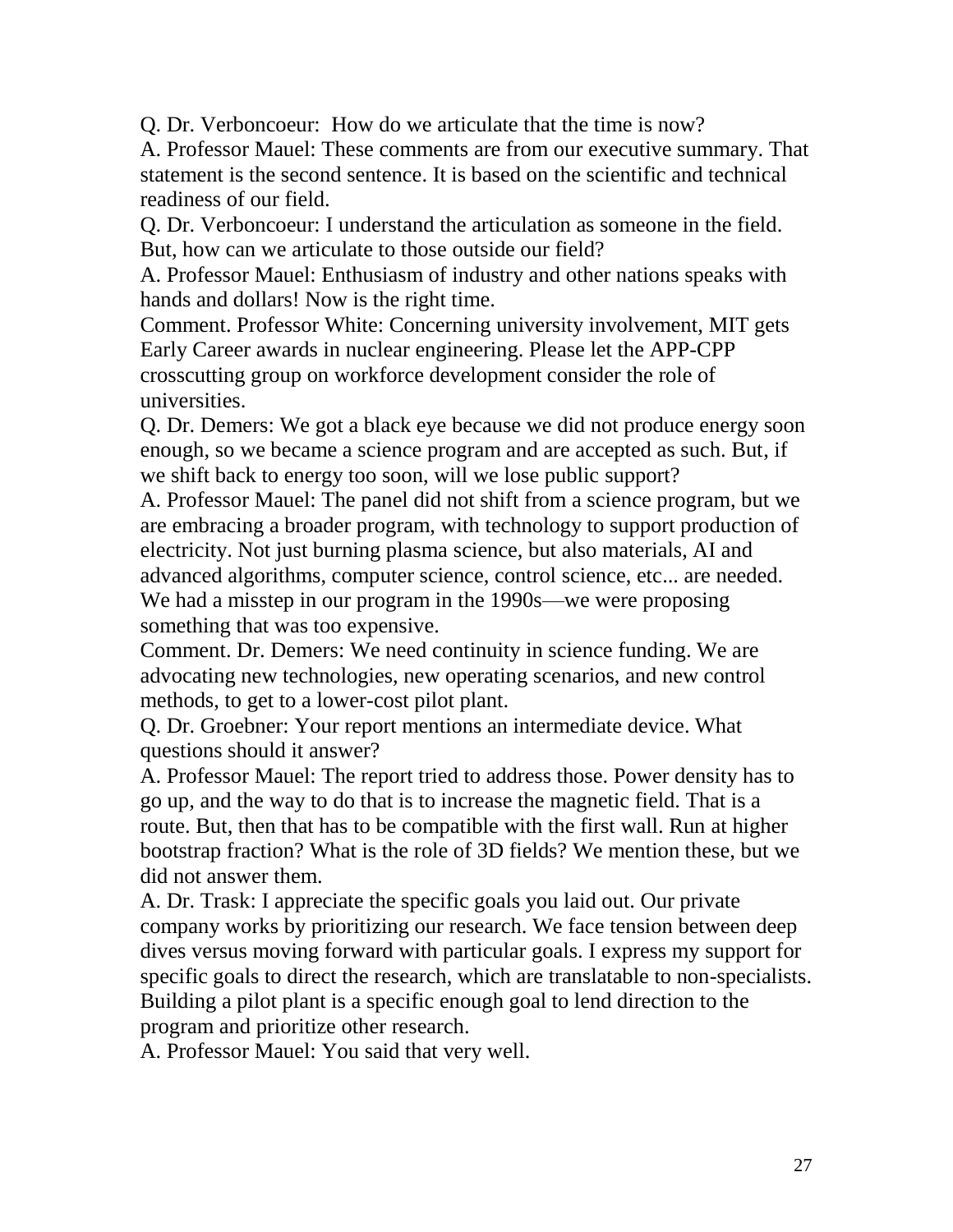Q. Dr. Verboncoeur: How do we articulate that the time is now?

A. Professor Mauel: These comments are from our executive summary. That statement is the second sentence. It is based on the scientific and technical readiness of our field.

Q. Dr. Verboncoeur: I understand the articulation as someone in the field. But, how can we articulate to those outside our field?

A. Professor Mauel: Enthusiasm of industry and other nations speaks with hands and dollars! Now is the right time.

Comment. Professor White: Concerning university involvement, MIT gets Early Career awards in nuclear engineering. Please let the APP-CPP crosscutting group on workforce development consider the role of universities.

Q. Dr. Demers: We got a black eye because we did not produce energy soon enough, so we became a science program and are accepted as such. But, if we shift back to energy too soon, will we lose public support?

A. Professor Mauel: The panel did not shift from a science program, but we are embracing a broader program, with technology to support production of electricity. Not just burning plasma science, but also materials, AI and advanced algorithms, computer science, control science, etc... are needed. We had a misstep in our program in the 1990s—we were proposing something that was too expensive.

Comment. Dr. Demers: We need continuity in science funding. We are advocating new technologies, new operating scenarios, and new control methods, to get to a lower-cost pilot plant.

Q. Dr. Groebner: Your report mentions an intermediate device. What questions should it answer?

A. Professor Mauel: The report tried to address those. Power density has to go up, and the way to do that is to increase the magnetic field. That is a route. But, then that has to be compatible with the first wall. Run at higher bootstrap fraction? What is the role of 3D fields? We mention these, but we did not answer them.

A. Dr. Trask: I appreciate the specific goals you laid out. Our private company works by prioritizing our research. We face tension between deep dives versus moving forward with particular goals. I express my support for specific goals to direct the research, which are translatable to non-specialists. Building a pilot plant is a specific enough goal to lend direction to the program and prioritize other research.

A. Professor Mauel: You said that very well.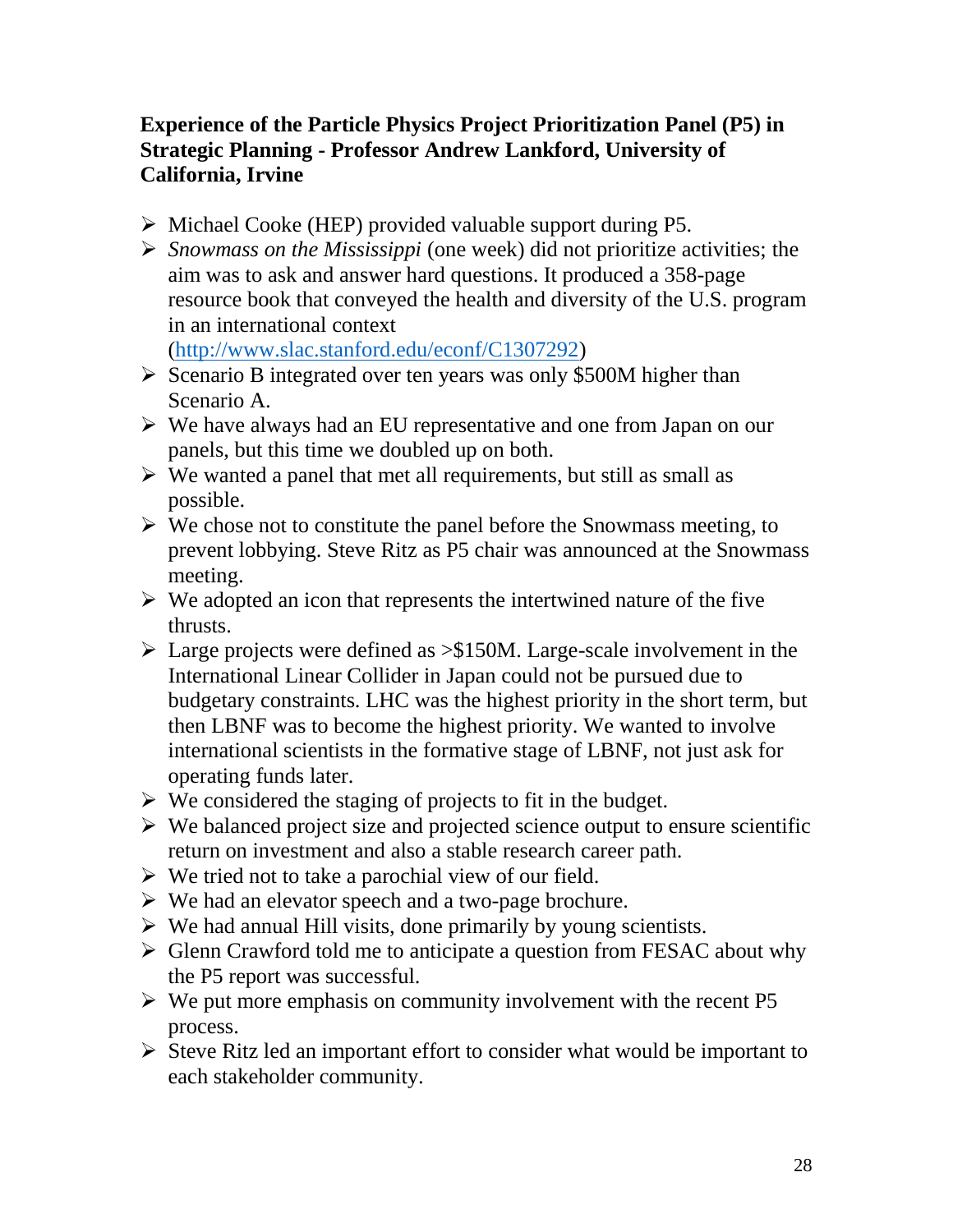### **Experience of the Particle Physics Project Prioritization Panel (P5) in Strategic Planning - Professor Andrew Lankford, University of California, Irvine**

- $\triangleright$  Michael Cooke (HEP) provided valuable support during P5.
- *Snowmass on the Mississippi* (one week) did not prioritize activities; the aim was to ask and answer hard questions. It produced a 358-page resource book that conveyed the health and diversity of the U.S. program in an international context

[\(http://www.slac.stanford.edu/econf/C1307292\)](http://www.slac.stanford.edu/econf/C1307292)

- $\triangleright$  Scenario B integrated over ten years was only \$500M higher than Scenario A.
- We have always had an EU representative and one from Japan on our panels, but this time we doubled up on both.
- $\triangleright$  We wanted a panel that met all requirements, but still as small as possible.
- $\triangleright$  We chose not to constitute the panel before the Snowmass meeting, to prevent lobbying. Steve Ritz as P5 chair was announced at the Snowmass meeting.
- $\triangleright$  We adopted an icon that represents the intertwined nature of the five thrusts.
- $\geq$  Large projects were defined as  $\geq$ \$150M. Large-scale involvement in the International Linear Collider in Japan could not be pursued due to budgetary constraints. LHC was the highest priority in the short term, but then LBNF was to become the highest priority. We wanted to involve international scientists in the formative stage of LBNF, not just ask for operating funds later.
- $\triangleright$  We considered the staging of projects to fit in the budget.
- $\triangleright$  We balanced project size and projected science output to ensure scientific return on investment and also a stable research career path.
- $\triangleright$  We tried not to take a parochial view of our field.
- $\triangleright$  We had an elevator speech and a two-page brochure.
- $\triangleright$  We had annual Hill visits, done primarily by young scientists.
- $\triangleright$  Glenn Crawford told me to anticipate a question from FESAC about why the P5 report was successful.
- $\triangleright$  We put more emphasis on community involvement with the recent P5 process.
- $\triangleright$  Steve Ritz led an important effort to consider what would be important to each stakeholder community.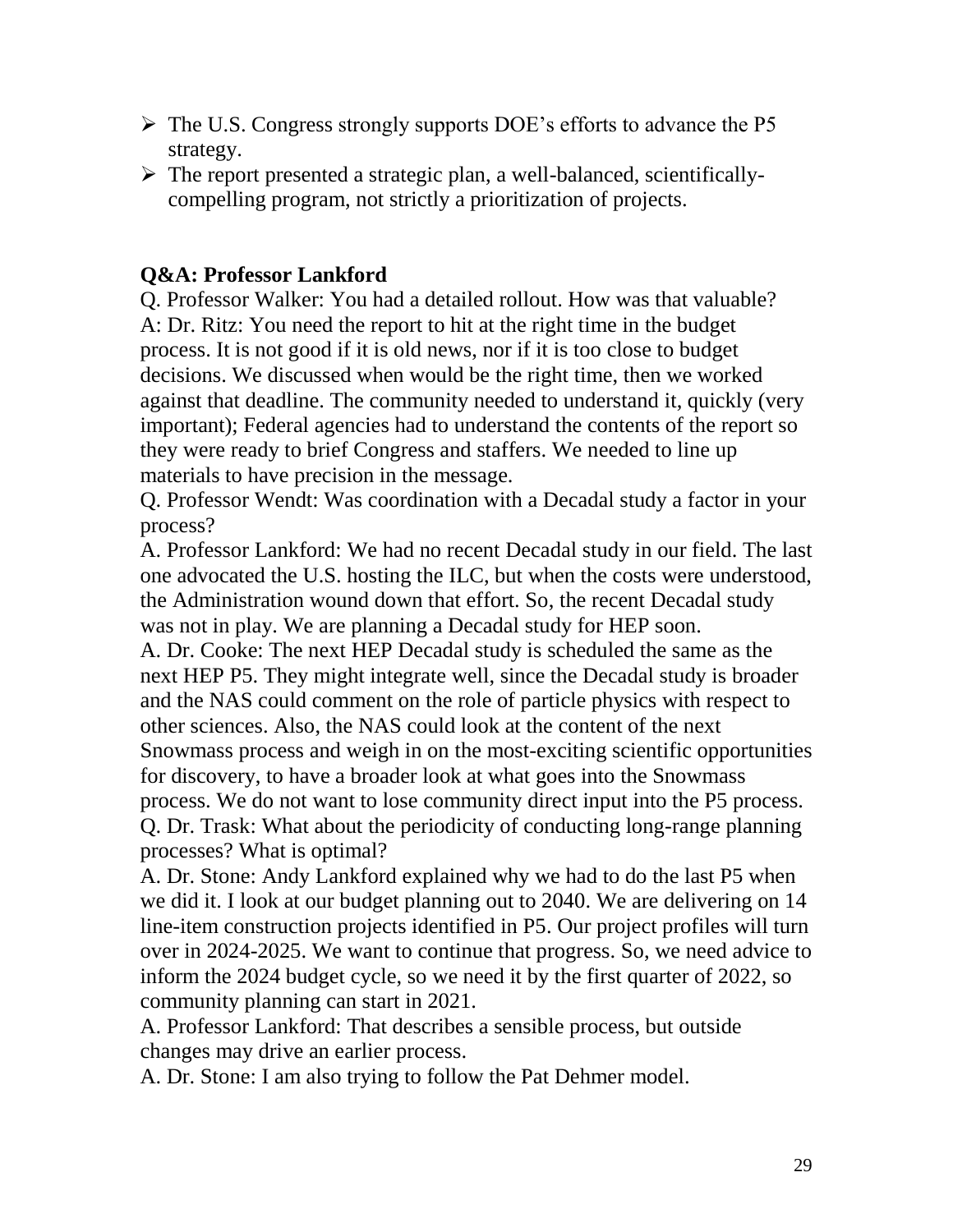- $\triangleright$  The U.S. Congress strongly supports DOE's efforts to advance the P5 strategy.
- $\triangleright$  The report presented a strategic plan, a well-balanced, scientificallycompelling program, not strictly a prioritization of projects.

# **Q&A: Professor Lankford**

Q. Professor Walker: You had a detailed rollout. How was that valuable? A: Dr. Ritz: You need the report to hit at the right time in the budget process. It is not good if it is old news, nor if it is too close to budget decisions. We discussed when would be the right time, then we worked against that deadline. The community needed to understand it, quickly (very important); Federal agencies had to understand the contents of the report so they were ready to brief Congress and staffers. We needed to line up materials to have precision in the message.

Q. Professor Wendt: Was coordination with a Decadal study a factor in your process?

A. Professor Lankford: We had no recent Decadal study in our field. The last one advocated the U.S. hosting the ILC, but when the costs were understood, the Administration wound down that effort. So, the recent Decadal study was not in play. We are planning a Decadal study for HEP soon.

A. Dr. Cooke: The next HEP Decadal study is scheduled the same as the next HEP P5. They might integrate well, since the Decadal study is broader and the NAS could comment on the role of particle physics with respect to other sciences. Also, the NAS could look at the content of the next Snowmass process and weigh in on the most-exciting scientific opportunities for discovery, to have a broader look at what goes into the Snowmass process. We do not want to lose community direct input into the P5 process. Q. Dr. Trask: What about the periodicity of conducting long-range planning processes? What is optimal?

A. Dr. Stone: Andy Lankford explained why we had to do the last P5 when we did it. I look at our budget planning out to 2040. We are delivering on 14 line-item construction projects identified in P5. Our project profiles will turn over in 2024-2025. We want to continue that progress. So, we need advice to inform the 2024 budget cycle, so we need it by the first quarter of 2022, so community planning can start in 2021.

A. Professor Lankford: That describes a sensible process, but outside changes may drive an earlier process.

A. Dr. Stone: I am also trying to follow the Pat Dehmer model.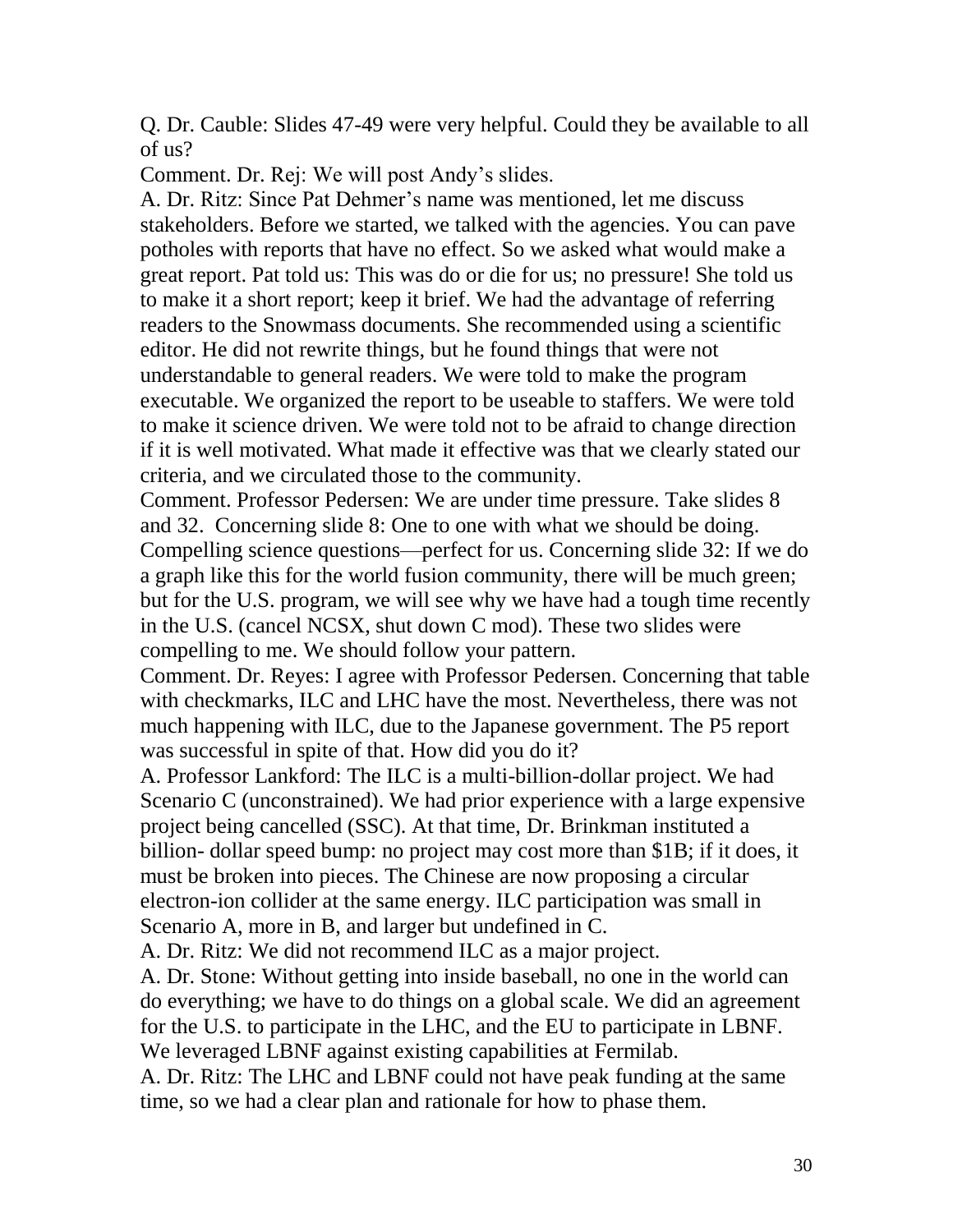Q. Dr. Cauble: Slides 47-49 were very helpful. Could they be available to all of us?

Comment. Dr. Rej: We will post Andy's slides.

A. Dr. Ritz: Since Pat Dehmer's name was mentioned, let me discuss stakeholders. Before we started, we talked with the agencies. You can pave potholes with reports that have no effect. So we asked what would make a great report. Pat told us: This was do or die for us; no pressure! She told us to make it a short report; keep it brief. We had the advantage of referring readers to the Snowmass documents. She recommended using a scientific editor. He did not rewrite things, but he found things that were not understandable to general readers. We were told to make the program executable. We organized the report to be useable to staffers. We were told to make it science driven. We were told not to be afraid to change direction if it is well motivated. What made it effective was that we clearly stated our criteria, and we circulated those to the community.

Comment. Professor Pedersen: We are under time pressure. Take slides 8 and 32. Concerning slide 8: One to one with what we should be doing. Compelling science questions—perfect for us. Concerning slide 32: If we do a graph like this for the world fusion community, there will be much green; but for the U.S. program, we will see why we have had a tough time recently in the U.S. (cancel NCSX, shut down C mod). These two slides were compelling to me. We should follow your pattern.

Comment. Dr. Reyes: I agree with Professor Pedersen. Concerning that table with checkmarks, ILC and LHC have the most. Nevertheless, there was not much happening with ILC, due to the Japanese government. The P5 report was successful in spite of that. How did you do it?

A. Professor Lankford: The ILC is a multi-billion-dollar project. We had Scenario C (unconstrained). We had prior experience with a large expensive project being cancelled (SSC). At that time, Dr. Brinkman instituted a billion- dollar speed bump: no project may cost more than \$1B; if it does, it must be broken into pieces. The Chinese are now proposing a circular electron-ion collider at the same energy. ILC participation was small in Scenario A, more in B, and larger but undefined in C.

A. Dr. Ritz: We did not recommend ILC as a major project.

A. Dr. Stone: Without getting into inside baseball, no one in the world can do everything; we have to do things on a global scale. We did an agreement for the U.S. to participate in the LHC, and the EU to participate in LBNF. We leveraged LBNF against existing capabilities at Fermilab.

A. Dr. Ritz: The LHC and LBNF could not have peak funding at the same time, so we had a clear plan and rationale for how to phase them.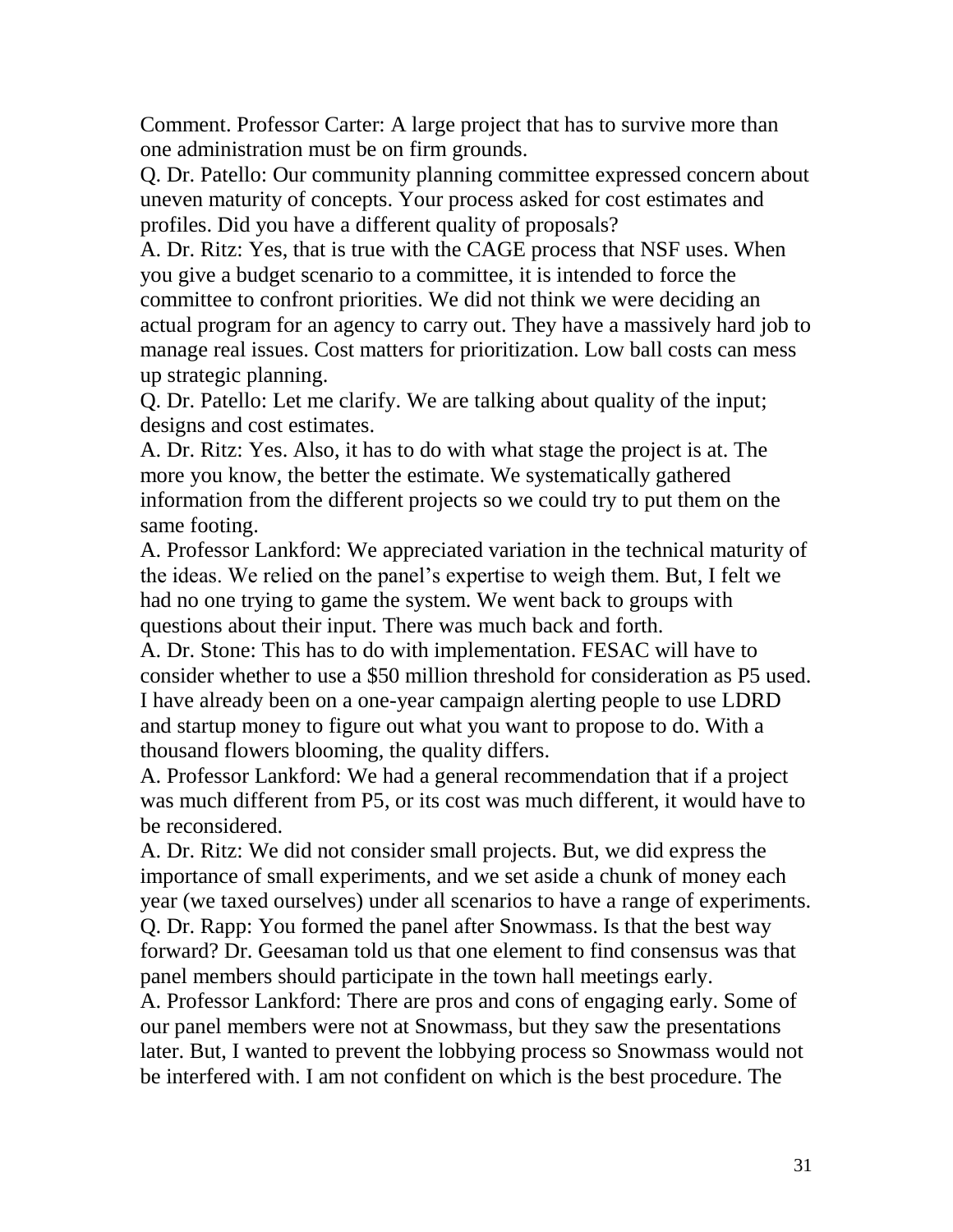Comment. Professor Carter: A large project that has to survive more than one administration must be on firm grounds.

Q. Dr. Patello: Our community planning committee expressed concern about uneven maturity of concepts. Your process asked for cost estimates and profiles. Did you have a different quality of proposals?

A. Dr. Ritz: Yes, that is true with the CAGE process that NSF uses. When you give a budget scenario to a committee, it is intended to force the committee to confront priorities. We did not think we were deciding an actual program for an agency to carry out. They have a massively hard job to manage real issues. Cost matters for prioritization. Low ball costs can mess up strategic planning.

Q. Dr. Patello: Let me clarify. We are talking about quality of the input; designs and cost estimates.

A. Dr. Ritz: Yes. Also, it has to do with what stage the project is at. The more you know, the better the estimate. We systematically gathered information from the different projects so we could try to put them on the same footing.

A. Professor Lankford: We appreciated variation in the technical maturity of the ideas. We relied on the panel's expertise to weigh them. But, I felt we had no one trying to game the system. We went back to groups with questions about their input. There was much back and forth.

A. Dr. Stone: This has to do with implementation. FESAC will have to consider whether to use a \$50 million threshold for consideration as P5 used. I have already been on a one-year campaign alerting people to use LDRD and startup money to figure out what you want to propose to do. With a thousand flowers blooming, the quality differs.

A. Professor Lankford: We had a general recommendation that if a project was much different from P5, or its cost was much different, it would have to be reconsidered.

A. Dr. Ritz: We did not consider small projects. But, we did express the importance of small experiments, and we set aside a chunk of money each year (we taxed ourselves) under all scenarios to have a range of experiments. Q. Dr. Rapp: You formed the panel after Snowmass. Is that the best way forward? Dr. Geesaman told us that one element to find consensus was that panel members should participate in the town hall meetings early.

A. Professor Lankford: There are pros and cons of engaging early. Some of our panel members were not at Snowmass, but they saw the presentations later. But, I wanted to prevent the lobbying process so Snowmass would not be interfered with. I am not confident on which is the best procedure. The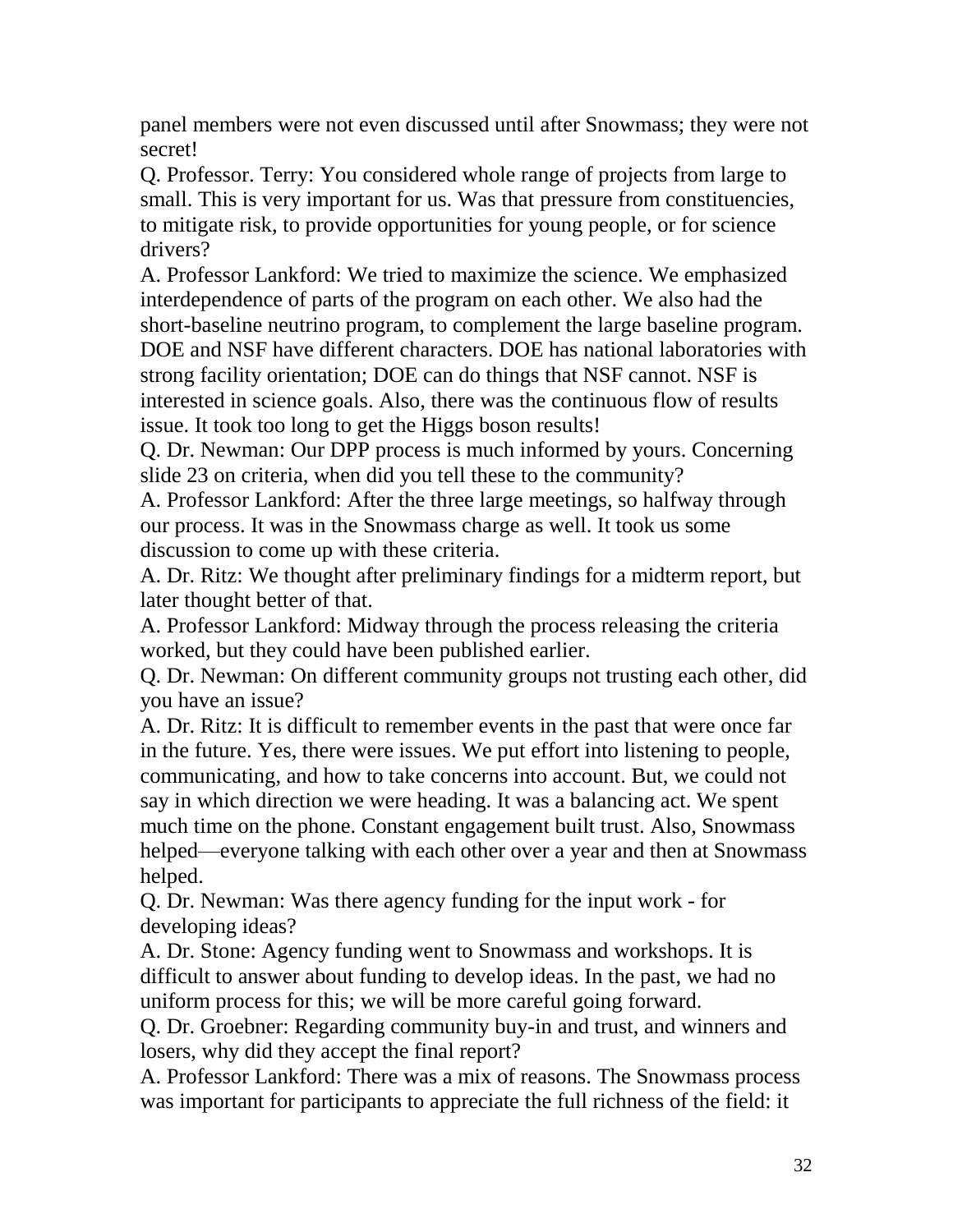panel members were not even discussed until after Snowmass; they were not secret!

Q. Professor. Terry: You considered whole range of projects from large to small. This is very important for us. Was that pressure from constituencies, to mitigate risk, to provide opportunities for young people, or for science drivers?

A. Professor Lankford: We tried to maximize the science. We emphasized interdependence of parts of the program on each other. We also had the short-baseline neutrino program, to complement the large baseline program. DOE and NSF have different characters. DOE has national laboratories with strong facility orientation; DOE can do things that NSF cannot. NSF is interested in science goals. Also, there was the continuous flow of results issue. It took too long to get the Higgs boson results!

Q. Dr. Newman: Our DPP process is much informed by yours. Concerning slide 23 on criteria, when did you tell these to the community?

A. Professor Lankford: After the three large meetings, so halfway through our process. It was in the Snowmass charge as well. It took us some discussion to come up with these criteria.

A. Dr. Ritz: We thought after preliminary findings for a midterm report, but later thought better of that.

A. Professor Lankford: Midway through the process releasing the criteria worked, but they could have been published earlier.

Q. Dr. Newman: On different community groups not trusting each other, did you have an issue?

A. Dr. Ritz: It is difficult to remember events in the past that were once far in the future. Yes, there were issues. We put effort into listening to people, communicating, and how to take concerns into account. But, we could not say in which direction we were heading. It was a balancing act. We spent much time on the phone. Constant engagement built trust. Also, Snowmass helped—everyone talking with each other over a year and then at Snowmass helped.

Q. Dr. Newman: Was there agency funding for the input work - for developing ideas?

A. Dr. Stone: Agency funding went to Snowmass and workshops. It is difficult to answer about funding to develop ideas. In the past, we had no uniform process for this; we will be more careful going forward.

Q. Dr. Groebner: Regarding community buy-in and trust, and winners and losers, why did they accept the final report?

A. Professor Lankford: There was a mix of reasons. The Snowmass process was important for participants to appreciate the full richness of the field: it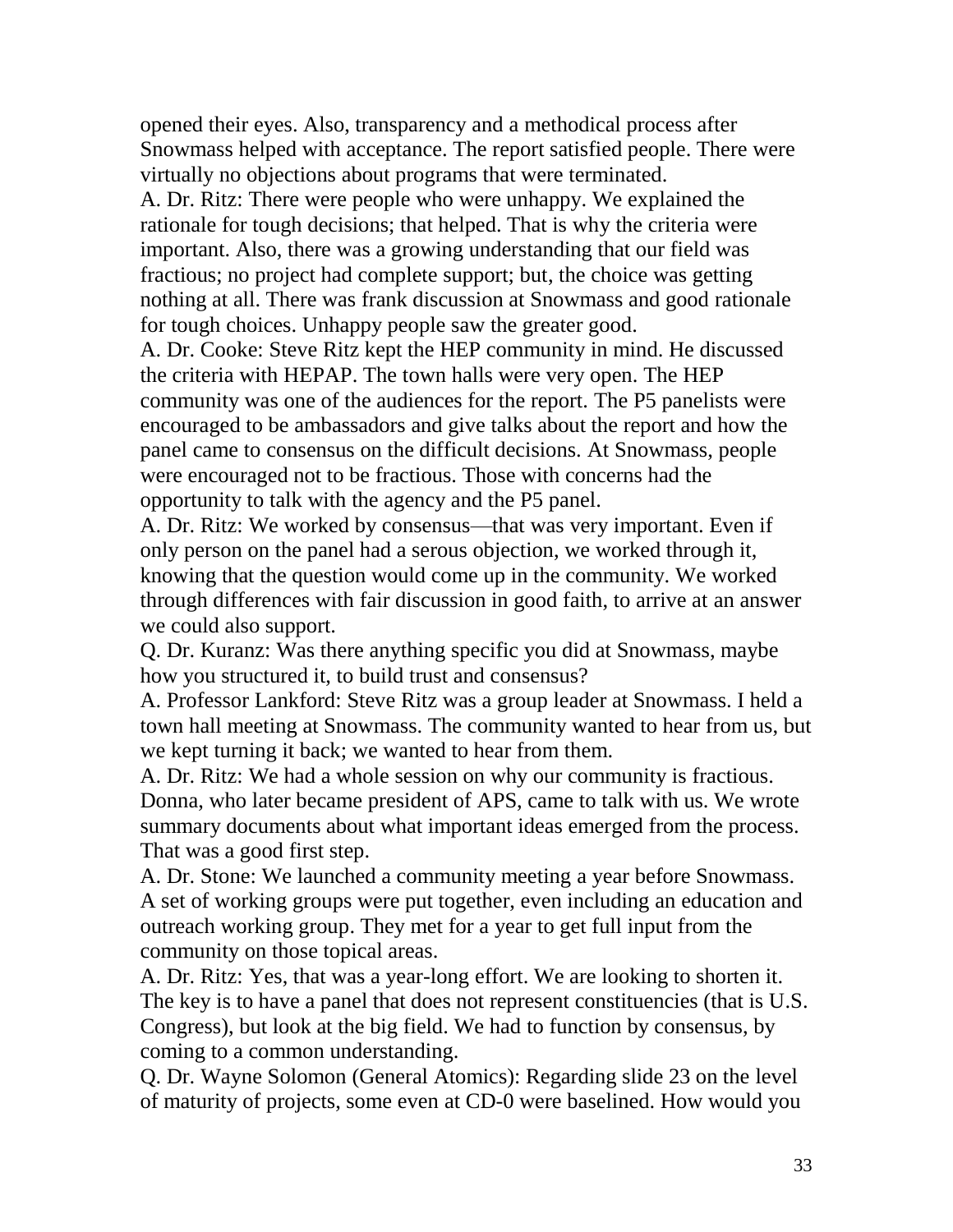opened their eyes. Also, transparency and a methodical process after Snowmass helped with acceptance. The report satisfied people. There were virtually no objections about programs that were terminated.

A. Dr. Ritz: There were people who were unhappy. We explained the rationale for tough decisions; that helped. That is why the criteria were important. Also, there was a growing understanding that our field was fractious; no project had complete support; but, the choice was getting nothing at all. There was frank discussion at Snowmass and good rationale for tough choices. Unhappy people saw the greater good.

A. Dr. Cooke: Steve Ritz kept the HEP community in mind. He discussed the criteria with HEPAP. The town halls were very open. The HEP community was one of the audiences for the report. The P5 panelists were encouraged to be ambassadors and give talks about the report and how the panel came to consensus on the difficult decisions. At Snowmass, people were encouraged not to be fractious. Those with concerns had the opportunity to talk with the agency and the P5 panel.

A. Dr. Ritz: We worked by consensus—that was very important. Even if only person on the panel had a serous objection, we worked through it, knowing that the question would come up in the community. We worked through differences with fair discussion in good faith, to arrive at an answer we could also support.

Q. Dr. Kuranz: Was there anything specific you did at Snowmass, maybe how you structured it, to build trust and consensus?

A. Professor Lankford: Steve Ritz was a group leader at Snowmass. I held a town hall meeting at Snowmass. The community wanted to hear from us, but we kept turning it back; we wanted to hear from them.

A. Dr. Ritz: We had a whole session on why our community is fractious. Donna, who later became president of APS, came to talk with us. We wrote summary documents about what important ideas emerged from the process. That was a good first step.

A. Dr. Stone: We launched a community meeting a year before Snowmass. A set of working groups were put together, even including an education and outreach working group. They met for a year to get full input from the community on those topical areas.

A. Dr. Ritz: Yes, that was a year-long effort. We are looking to shorten it. The key is to have a panel that does not represent constituencies (that is U.S. Congress), but look at the big field. We had to function by consensus, by coming to a common understanding.

Q. Dr. Wayne Solomon (General Atomics): Regarding slide 23 on the level of maturity of projects, some even at CD-0 were baselined. How would you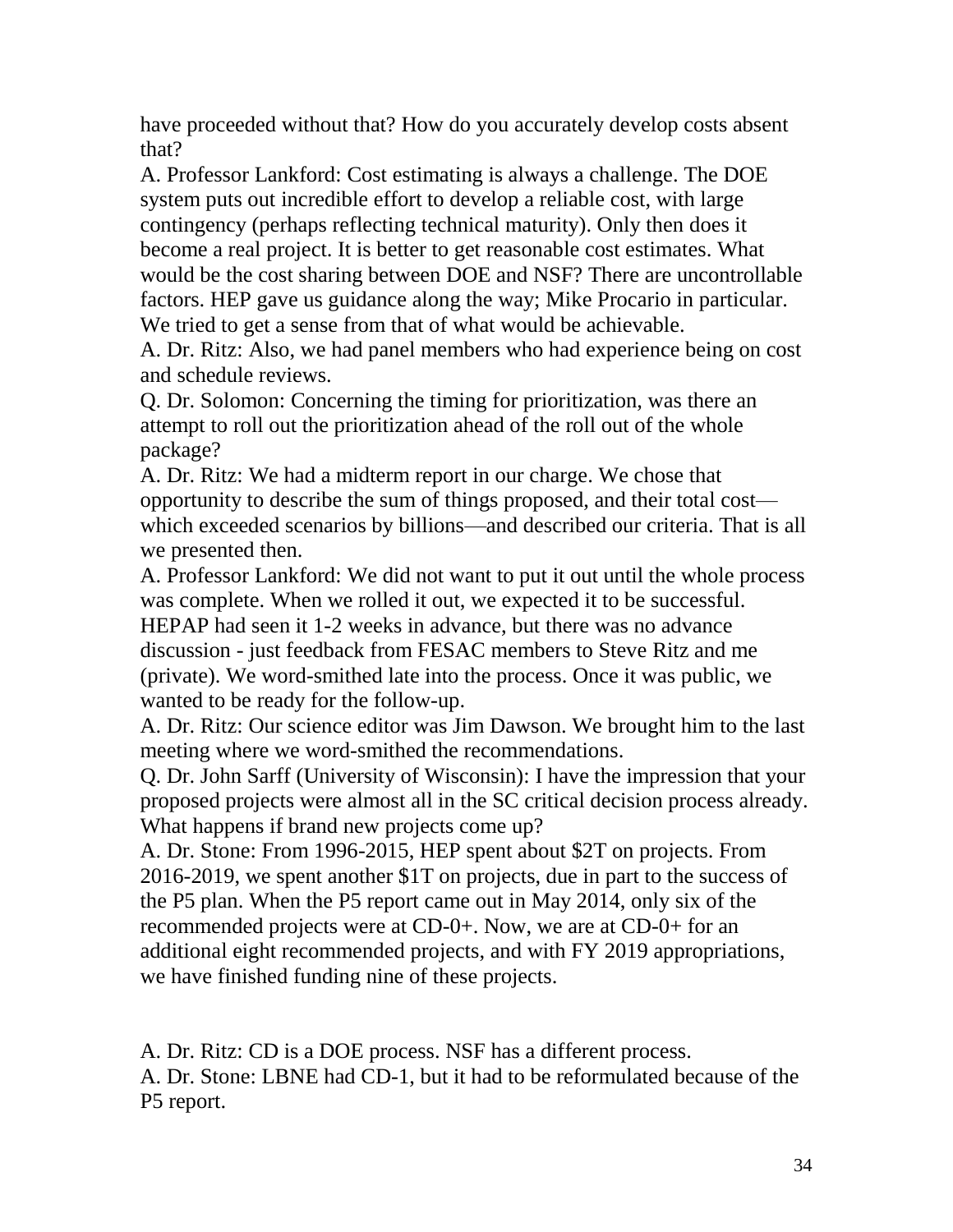have proceeded without that? How do you accurately develop costs absent that?

A. Professor Lankford: Cost estimating is always a challenge. The DOE system puts out incredible effort to develop a reliable cost, with large contingency (perhaps reflecting technical maturity). Only then does it become a real project. It is better to get reasonable cost estimates. What would be the cost sharing between DOE and NSF? There are uncontrollable factors. HEP gave us guidance along the way; Mike Procario in particular. We tried to get a sense from that of what would be achievable.

A. Dr. Ritz: Also, we had panel members who had experience being on cost and schedule reviews.

Q. Dr. Solomon: Concerning the timing for prioritization, was there an attempt to roll out the prioritization ahead of the roll out of the whole package?

A. Dr. Ritz: We had a midterm report in our charge. We chose that opportunity to describe the sum of things proposed, and their total cost which exceeded scenarios by billions—and described our criteria. That is all we presented then.

A. Professor Lankford: We did not want to put it out until the whole process was complete. When we rolled it out, we expected it to be successful. HEPAP had seen it 1-2 weeks in advance, but there was no advance discussion - just feedback from FESAC members to Steve Ritz and me (private). We word-smithed late into the process. Once it was public, we wanted to be ready for the follow-up.

A. Dr. Ritz: Our science editor was Jim Dawson. We brought him to the last meeting where we word-smithed the recommendations.

Q. Dr. John Sarff (University of Wisconsin): I have the impression that your proposed projects were almost all in the SC critical decision process already. What happens if brand new projects come up?

A. Dr. Stone: From 1996-2015, HEP spent about \$2T on projects. From 2016-2019, we spent another \$1T on projects, due in part to the success of the P5 plan. When the P5 report came out in May 2014, only six of the recommended projects were at CD-0+. Now, we are at CD-0+ for an additional eight recommended projects, and with FY 2019 appropriations, we have finished funding nine of these projects.

A. Dr. Ritz: CD is a DOE process. NSF has a different process.

A. Dr. Stone: LBNE had CD-1, but it had to be reformulated because of the P5 report.